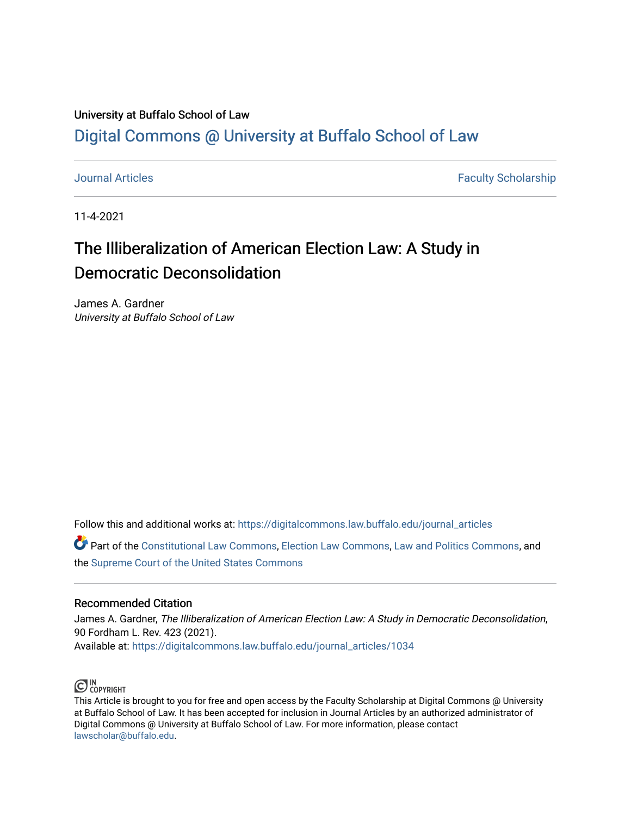# University at Buffalo School of Law [Digital Commons @ University at Buffalo School of Law](https://digitalcommons.law.buffalo.edu/)

[Journal Articles](https://digitalcommons.law.buffalo.edu/journal_articles) **Faculty Scholarship Faculty Scholarship Faculty Scholarship** 

11-4-2021

# The Illiberalization of American Election Law: A Study in Democratic Deconsolidation

James A. Gardner University at Buffalo School of Law

Follow this and additional works at: [https://digitalcommons.law.buffalo.edu/journal\\_articles](https://digitalcommons.law.buffalo.edu/journal_articles?utm_source=digitalcommons.law.buffalo.edu%2Fjournal_articles%2F1034&utm_medium=PDF&utm_campaign=PDFCoverPages) 

Part of the [Constitutional Law Commons,](http://network.bepress.com/hgg/discipline/589?utm_source=digitalcommons.law.buffalo.edu%2Fjournal_articles%2F1034&utm_medium=PDF&utm_campaign=PDFCoverPages) [Election Law Commons](http://network.bepress.com/hgg/discipline/1121?utm_source=digitalcommons.law.buffalo.edu%2Fjournal_articles%2F1034&utm_medium=PDF&utm_campaign=PDFCoverPages), [Law and Politics Commons,](http://network.bepress.com/hgg/discipline/867?utm_source=digitalcommons.law.buffalo.edu%2Fjournal_articles%2F1034&utm_medium=PDF&utm_campaign=PDFCoverPages) and the [Supreme Court of the United States Commons](http://network.bepress.com/hgg/discipline/1350?utm_source=digitalcommons.law.buffalo.edu%2Fjournal_articles%2F1034&utm_medium=PDF&utm_campaign=PDFCoverPages)

## Recommended Citation

James A. Gardner, The Illiberalization of American Election Law: A Study in Democratic Deconsolidation, 90 Fordham L. Rev. 423 (2021). Available at: [https://digitalcommons.law.buffalo.edu/journal\\_articles/1034](https://digitalcommons.law.buffalo.edu/journal_articles/1034?utm_source=digitalcommons.law.buffalo.edu%2Fjournal_articles%2F1034&utm_medium=PDF&utm_campaign=PDFCoverPages) 



This Article is brought to you for free and open access by the Faculty Scholarship at Digital Commons @ University at Buffalo School of Law. It has been accepted for inclusion in Journal Articles by an authorized administrator of Digital Commons @ University at Buffalo School of Law. For more information, please contact [lawscholar@buffalo.edu](mailto:lawscholar@buffalo.edu).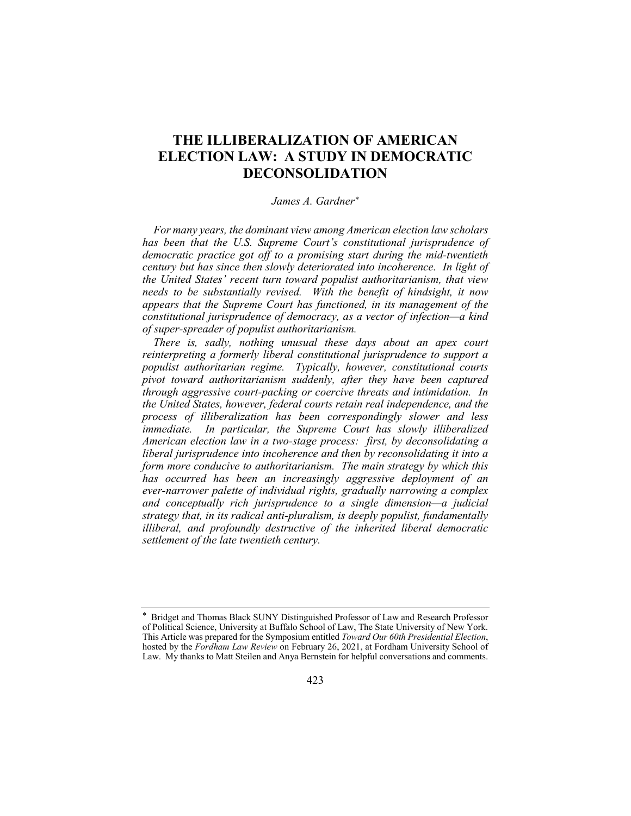## **THE ILLIBERALIZATION OF AMERICAN ELECTION LAW: A STUDY IN DEMOCRATIC DECONSOLIDATION**

#### *James A. Gardner\**

 *the United States' recent turn toward populist authoritarianism, that view needs to be substantially revised. With the benefit of hindsight, it now For many years, the dominant view among American election law scholars has been that the U.S. Supreme Court's constitutional jurisprudence of democratic practice got off to a promising start during the mid-twentieth century but has since then slowly deteriorated into incoherence. In light of appears that the Supreme Court has functioned, in its management of the constitutional jurisprudence of democracy, as a vector of infection—a kind of super-spreader of populist authoritarianism.*

 *There is, sadly, nothing unusual these days about an apex court through aggressive court-packing or coercive threats and intimidation. In process of illiberalization has been correspondingly slower and less American election law in a two-stage process: first, by deconsolidating a liberal jurisprudence into incoherence and then by reconsolidating it into a form more conducive to authoritarianism. The main strategy by which this ever-narrower palette of individual rights, gradually narrowing a complex strategy that, in its radical anti-pluralism, is deeply populist, fundamentally illiberal, and profoundly destructive of the inherited liberal democratic reinterpreting a formerly liberal constitutional jurisprudence to support a populist authoritarian regime. Typically, however, constitutional courts pivot toward authoritarianism suddenly, after they have been captured the United States, however, federal courts retain real independence, and the immediate. In particular, the Supreme Court has slowly illiberalized has occurred has been an increasingly aggressive deployment of an and conceptually rich jurisprudence to a single dimension—a judicial settlement of the late twentieth century.*

 of Political Science, University at Buffalo School of Law, The State University of New York. hosted by the *Fordham Law Review* on February 26, 2021, at Fordham University School of Law. My thanks to Matt Steilen and Anya Bernstein for helpful conversations and comments. \* Bridget and Thomas Black SUNY Distinguished Professor of Law and Research Professor This Article was prepared for the Symposium entitled *Toward Our 60th Presidential Election*,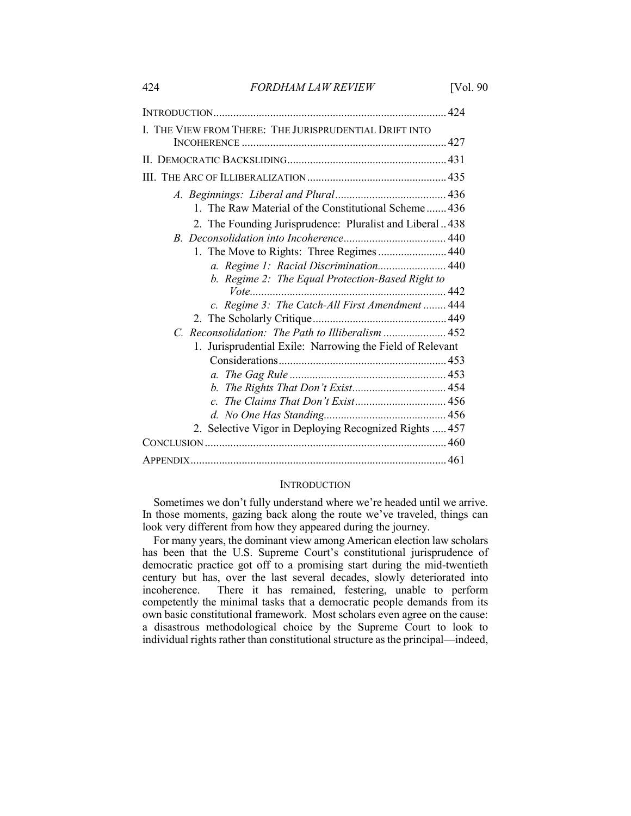424 *FORDHAM LAW REVIEW* [Vol. 90

| I. THE VIEW FROM THERE: THE JURISPRUDENTIAL DRIFT INTO                                                          |
|-----------------------------------------------------------------------------------------------------------------|
|                                                                                                                 |
|                                                                                                                 |
| 1. The Raw Material of the Constitutional Scheme 436<br>2. The Founding Jurisprudence: Pluralist and Liberal438 |
| 1. The Move to Rights: Three Regimes  440                                                                       |
| a. Regime 1: Racial Discrimination 440<br>b. Regime 2: The Equal Protection-Based Right to                      |
| c. Regime 3: The Catch-All First Amendment  444                                                                 |
| C. Reconsolidation: The Path to Illiberalism  452                                                               |
| 1. Jurisprudential Exile: Narrowing the Field of Relevant                                                       |
| 2. Selective Vigor in Deploying Recognized Rights  457                                                          |
|                                                                                                                 |
|                                                                                                                 |

#### **INTRODUCTION**

 In those moments, gazing back along the route we've traveled, things can Sometimes we don't fully understand where we're headed until we arrive. look very different from how they appeared during the journey.

For many years, the dominant view among American election law scholars has been that the U.S. Supreme Court's constitutional jurisprudence of democratic practice got off to a promising start during the mid-twentieth century but has, over the last several decades, slowly deteriorated into incoherence. There it has remained, festering, unable to perform There it has remained, festering, unable to perform competently the minimal tasks that a democratic people demands from its own basic constitutional framework. Most scholars even agree on the cause: a disastrous methodological choice by the Supreme Court to look to individual rights rather than constitutional structure as the principal—indeed,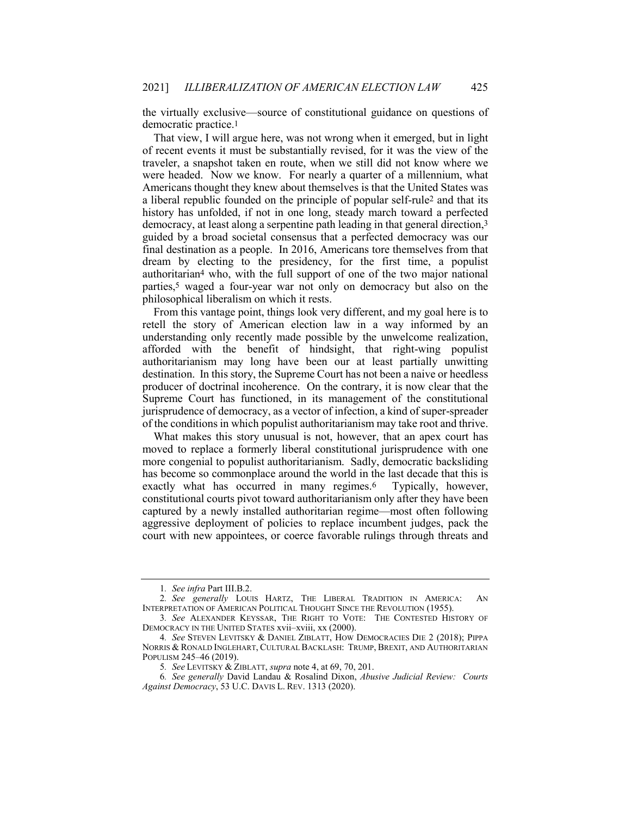the virtually exclusive—source of constitutional guidance on questions of democratic practice.1

 That view, I will argue here, was not wrong when it emerged, but in light traveler, a snapshot taken en route, when we still did not know where we were headed. Now we know. For nearly a quarter of a millennium, what Americans thought they knew about themselves is that the United States was a liberal republic founded on the principle of popular self-rule2 and that its democracy, at least along a serpentine path leading in that general direction,<sup>3</sup> guided by a broad societal consensus that a perfected democracy was our final destination as a people. In 2016, Americans tore themselves from that dream by electing to the presidency, for the first time, a populist authoritarian4 who, with the full support of one of the two major national parties,<sup>5</sup> waged a four-year war not only on democracy but also on the philosophical liberalism on which it rests. of recent events it must be substantially revised, for it was the view of the history has unfolded, if not in one long, steady march toward a perfected

 understanding only recently made possible by the unwelcome realization, authoritarianism may long have been our at least partially unwitting destination. In this story, the Supreme Court has not been a naive or heedless of the conditions in which populist authoritarianism may take root and thrive. From this vantage point, things look very different, and my goal here is to retell the story of American election law in a way informed by an afforded with the benefit of hindsight, that right-wing populist producer of doctrinal incoherence. On the contrary, it is now clear that the Supreme Court has functioned, in its management of the constitutional jurisprudence of democracy, as a vector of infection, a kind of super-spreader

 exactly what has occurred in many regimes.6 Typically, however, constitutional courts pivot toward authoritarianism only after they have been captured by a newly installed authoritarian regime—most often following aggressive deployment of policies to replace incumbent judges, pack the court with new appointees, or coerce favorable rulings through threats and What makes this story unusual is not, however, that an apex court has moved to replace a formerly liberal constitutional jurisprudence with one more congenial to populist authoritarianism. Sadly, democratic backsliding has become so commonplace around the world in the last decade that this is

<sup>1</sup>*. See infra* Part III.B.2.

 INTERPRETATION OF AMERICAN POLITICAL THOUGHT SINCE THE REVOLUTION (1955). 2*. See generally* LOUIS HARTZ, THE LIBERAL TRADITION IN AMERICA: AN

<sup>3</sup>*. See* ALEXANDER KEYSSAR, THE RIGHT TO VOTE: THE CONTESTED HISTORY OF DEMOCRACY IN THE UNITED STATES xvii–xviii, xx (2000).

 NORRIS & RONALD INGLEHART, CULTURAL BACKLASH: TRUMP, BREXIT, AND AUTHORITARIAN 4*. See* STEVEN LEVITSKY & DANIEL ZIBLATT, HOW DEMOCRACIES DIE 2 (2018); PIPPA POPULISM 245–46 (2019).

<sup>5</sup>*. See* LEVITSKY & ZIBLATT, *supra* note 4, at 69, 70, 201.

 *Against Democracy*, 53 U.C. DAVIS L. REV. 1313 (2020).6*. See generally* David Landau & Rosalind Dixon, *Abusive Judicial Review: Courts*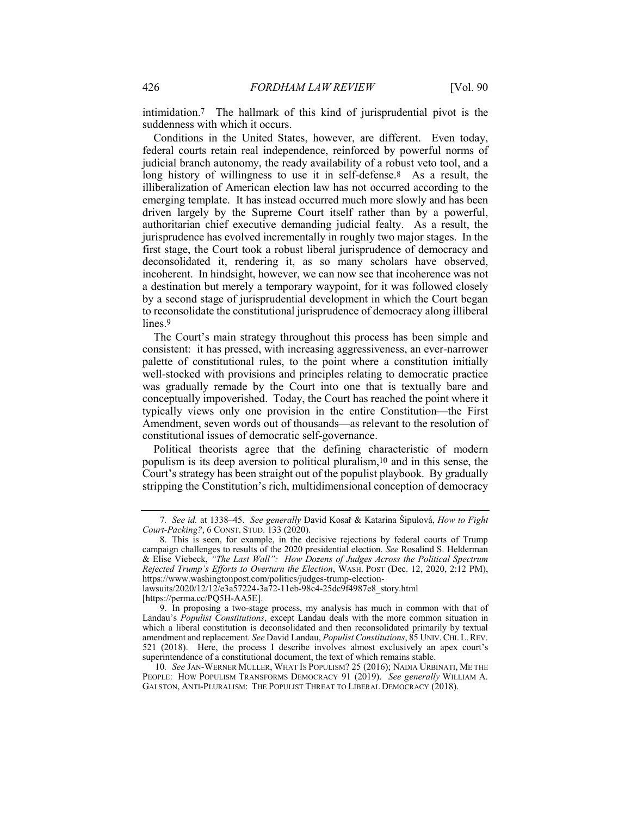intimidation.7 The hallmark of this kind of jurisprudential pivot is the suddenness with which it occurs.

 Conditions in the United States, however, are different. Even today, federal courts retain real independence, reinforced by powerful norms of judicial branch autonomy, the ready availability of a robust veto tool, and a long history of willingness to use it in self-defense.8 As a result, the illiberalization of American election law has not occurred according to the emerging template. It has instead occurred much more slowly and has been driven largely by the Supreme Court itself rather than by a powerful, jurisprudence has evolved incrementally in roughly two major stages. In the first stage, the Court took a robust liberal jurisprudence of democracy and incoherent. In hindsight, however, we can now see that incoherence was not a destination but merely a temporary waypoint, for it was followed closely to reconsolidate the constitutional jurisprudence of democracy along illiberal authoritarian chief executive demanding judicial fealty. As a result, the deconsolidated it, rendering it, as so many scholars have observed, by a second stage of jurisprudential development in which the Court began lines.<sup>9</sup>

 consistent: it has pressed, with increasing aggressiveness, an ever-narrower was gradually remade by the Court into one that is textually bare and conceptually impoverished. Today, the Court has reached the point where it typically views only one provision in the entire Constitution—the First The Court's main strategy throughout this process has been simple and palette of constitutional rules, to the point where a constitution initially well-stocked with provisions and principles relating to democratic practice Amendment, seven words out of thousands—as relevant to the resolution of constitutional issues of democratic self-governance.

 Political theorists agree that the defining characteristic of modern populism is its deep aversion to political pluralism,10 and in this sense, the Court's strategy has been straight out of the populist playbook. By gradually stripping the Constitution's rich, multidimensional conception of democracy

[\[https://perma.cc/PQ5H-AA5E\]](https://perma.cc/PQ5H-AA5E).

 *Court-Packing?*, 6 CONST. STUD. 133 (2020). 7*. See id.* at 1338–45. *See generally* David Kosař & Katarína Šipulová, *How to Fight*

 campaign challenges to results of the 2020 presidential election. *See* Rosalind S. Helderman 8. This is seen, for example, in the decisive rejections by federal courts of Trump & Elise Viebeck, *"The Last Wall": How Dozens of Judges Across the Political Spectrum Rejected Trump's Efforts to Overturn the Election*, WASH. POST (Dec. 12, 2020, 2:12 PM), <https://www.washingtonpost.com/politics/judges-trump-election>-

lawsuits/2020/12/12/e3a57224-3a72-11eb-98c4-25dc9f4987e8\_story.html

 Landau's *Populist Constitutions*, except Landau deals with the more common situation in which a liberal constitution is deconsolidated and then reconsolidated primarily by textual amendment and replacement. *See* David Landau, *Populist Constitutions*, 85 UNIV.CHI. L.REV. 521 (2018). Here, the process I describe involves almost exclusively an apex court's 9. In proposing a two-stage process, my analysis has much in common with that of superintendence of a constitutional document, the text of which remains stable.

 PEOPLE: HOW POPULISM TRANSFORMS DEMOCRACY 91 (2019). *See generally* WILLIAM A. GALSTON, ANTI-PLURALISM: THE POPULIST THREAT TO LIBERAL DEMOCRACY (2018).10*. See* JAN-WERNER MÜLLER, WHAT IS POPULISM? 25 (2016); NADIA URBINATI, ME THE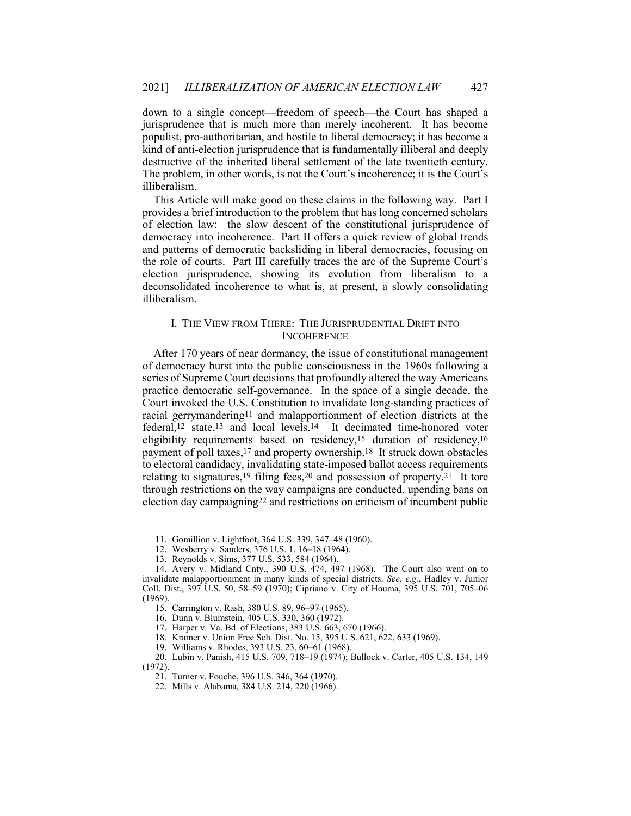<span id="page-5-0"></span> jurisprudence that is much more than merely incoherent. It has become down to a single concept—freedom of speech—the Court has shaped a populist, pro-authoritarian, and hostile to liberal democracy; it has become a kind of anti-election jurisprudence that is fundamentally illiberal and deeply destructive of the inherited liberal settlement of the late twentieth century. The problem, in other words, is not the Court's incoherence; it is the Court's illiberalism.

 This Article will make good on these claims in the following way. Part I provides a brief introduction to the problem that has long concerned scholars of election law: the slow descent of the constitutional jurisprudence of democracy into incoherence. Part II offers a quick review of global trends and patterns of democratic backsliding in liberal democracies, focusing on the role of courts. Part III carefully traces the arc of the Supreme Court's election jurisprudence, showing its evolution from liberalism to a deconsolidated incoherence to what is, at present, a slowly consolidating illiberalism.

## I. THE VIEW FROM THERE: THE JURISPRUDENTIAL DRIFT INTO **INCOHERENCE**

 practice democratic self-governance. In the space of a single decade, the Court invoked the U.S. Constitution to invalidate long-standing practices of racial gerrymandering11 and malapportionment of election districts at the federal,12 state,13 and local [levels.14](https://levels.14) It decimated time-honored voter eligibility requirements based on residency,15 duration of residency,16 payment of poll taxes,17 and property [ownership.18](https://ownership.18) It struck down obstacles relating to signatures,19 filing fees,20 and possession of [property.21](https://property.21) It tore through restrictions on the way campaigns are conducted, upending bans on election day campaigning22 and restrictions on criticism of incumbent public After 170 years of near dormancy, the issue of constitutional management of democracy burst into the public consciousness in the 1960s following a series of Supreme Court decisions that profoundly altered the way Americans to electoral candidacy, invalidating state-imposed ballot access requirements

<sup>11.</sup> Gomillion v. Lightfoot, 364 U.S. 339, 347–48 (1960).

<sup>12.</sup> Wesberry v. Sanders, 376 U.S. 1, 16–18 (1964).

<sup>13.</sup> Reynolds v. Sims, 377 U.S. 533, 584 (1964).

 invalidate malapportionment in many kinds of special districts. *See, e.g.*, Hadley v. Junior Coll. Dist., 397 U.S. 50, 58–59 (1970); Cipriano v. City of Houma, 395 U.S. 701, 705–06 14. Avery v. Midland Cnty., 390 U.S. 474, 497 (1968). The Court also went on to (1969).

<sup>15.</sup> Carrington v. Rash, 380 U.S. 89, 96–97 (1965).

<sup>16.</sup> Dunn v. Blumstein, 405 U.S. 330, 360 (1972).

<sup>17.</sup> Harper v. Va. Bd. of Elections, 383 U.S. 663, 670 (1966).

<sup>18.</sup> Kramer v. Union Free Sch. Dist. No. 15, 395 U.S. 621, 622, 633 (1969).

<sup>19.</sup> Williams v. Rhodes, 393 U.S. 23, 60–61 (1968).

<sup>20.</sup> Lubin v. Panish, 415 U.S. 709, 718–19 (1974); Bullock v. Carter, 405 U.S. 134, 149 (1972).

<sup>21.</sup> Turner v. Fouche, 396 U.S. 346, 364 (1970).

<sup>22.</sup> Mills v. Alabama, 384 U.S. 214, 220 (1966).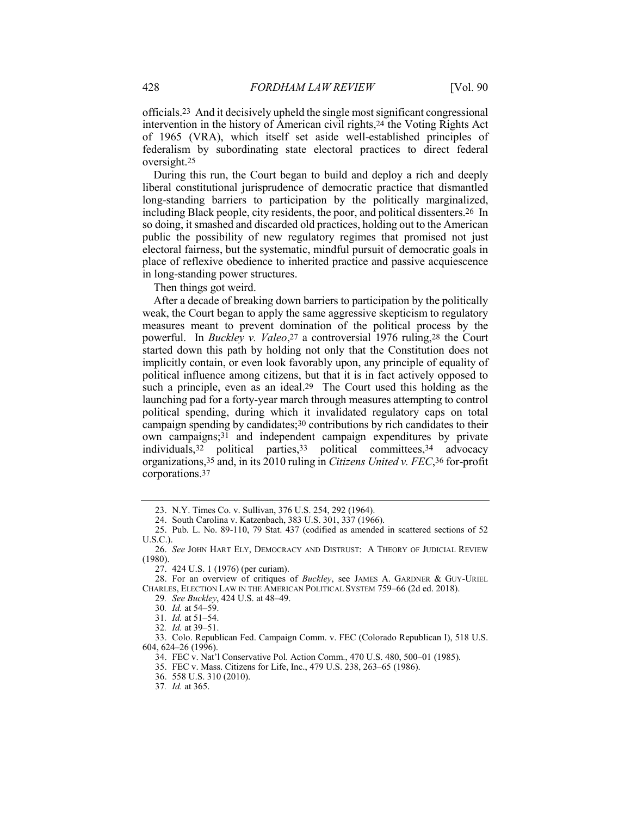[officials.23](https://officials.23) And it decisively upheld the single most significant congressional intervention in the history of American civil rights,24 the Voting Rights Act of 1965 (VRA), which itself set aside well-established principles of federalism by subordinating state electoral practices to direct federal [oversight.25](https://oversight.25)

 long-standing barriers to participation by the politically marginalized, including Black people, city residents, the poor, and political [dissenters.26](https://dissenters.26) In so doing, it smashed and discarded old practices, holding out to the American public the possibility of new regulatory regimes that promised not just During this run, the Court began to build and deploy a rich and deeply liberal constitutional jurisprudence of democratic practice that dismantled electoral fairness, but the systematic, mindful pursuit of democratic goals in place of reflexive obedience to inherited practice and passive acquiescence in long-standing power structures.

Then things got weird.

 After a decade of breaking down barriers to participation by the politically weak, the Court began to apply the same aggressive skepticism to regulatory measures meant to prevent domination of the political process by the powerful. In *Buckley v. Valeo*,27 a controversial 1976 ruling,28 the Court started down this path by holding not only that the Constitution does not implicitly contain, or even look favorably upon, any principle of equality of political influence among citizens, but that it is in fact actively opposed to such a principle, even as an [ideal.29](https://ideal.29) The Court used this holding as the launching pad for a forty-year march through measures attempting to control political spending, during which it invalidated regulatory caps on total campaign spending by candidates;30 contributions by rich candidates to their own campaigns;31 and independent campaign expenditures by private individuals,32 political parties,33 political committees,34 advocacy organizations,35 and, in its 2010 ruling in *Citizens United v. FEC*,36 for-profit [corporations.37](https://corporations.37)

<sup>23.</sup> N.Y. Times Co. v. Sullivan, 376 U.S. 254, 292 (1964).

<sup>24.</sup> South Carolina v. Katzenbach, 383 U.S. 301, 337 (1966).

<sup>25.</sup> Pub. L. No. 89-110, 79 Stat. 437 (codified as amended in scattered sections of 52 U.S.C.).

<sup>26.</sup> *See* JOHN HART ELY, DEMOCRACY AND DISTRUST: A THEORY OF JUDICIAL REVIEW (1980).

<sup>27.</sup> 424 U.S. 1 (1976) (per curiam).

<sup>28.</sup> For an overview of critiques of *Buckley*, see JAMES A. GARDNER & GUY-URIEL CHARLES, ELECTION LAW IN THE AMERICAN POLITICAL SYSTEM 759–66 (2d ed. 2018).

<sup>29</sup>*. See Buckley*, 424 U.S. at 48–49.

<sup>30</sup>*. Id.* at 54–59.

<sup>31</sup>*. Id.* at 51–54.

<sup>32</sup>*. Id.* at 39–51.

 604, 624–26 (1996). 33. Colo. Republican Fed. Campaign Comm. v. FEC (Colorado Republican I), 518 U.S.

<sup>34.</sup> FEC v. Nat'l Conservative Pol. Action Comm., 470 U.S. 480, 500–01 (1985).

<sup>35.</sup> FEC v. Mass. Citizens for Life, Inc., 479 U.S. 238, 263–65 (1986).

<sup>36.</sup> 558 U.S. 310 (2010).

<sup>37</sup>*. Id.* at 365.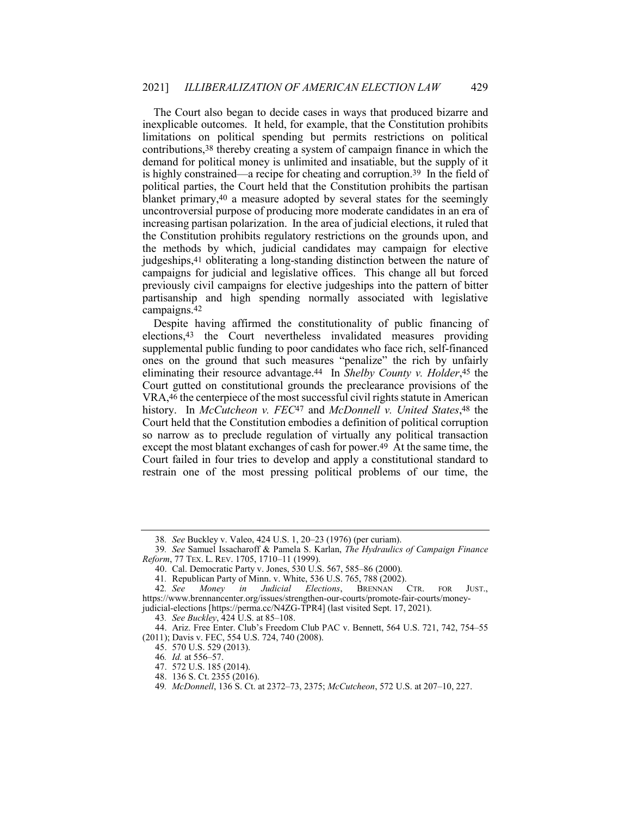The Court also began to decide cases in ways that produced bizarre and contributions,38 thereby creating a system of campaign finance in which the is highly constrained—a recipe for cheating and [corruption.39](https://corruption.39) In the field of increasing partisan polarization. In the area of judicial elections, it ruled that the Constitution prohibits regulatory restrictions on the grounds upon, and the methods by which, judicial candidates may campaign for elective judgeships,41 obliterating a long-standing distinction between the nature of campaigns for judicial and legislative offices. This change all but forced previously civil campaigns for elective judgeships into the pattern of bitter partisanship and high spending normally associated with legislative inexplicable outcomes. It held, for example, that the Constitution prohibits limitations on political spending but permits restrictions on political demand for political money is unlimited and insatiable, but the supply of it political parties, the Court held that the Constitution prohibits the partisan blanket primary,40 a measure adopted by several states for the seemingly uncontroversial purpose of producing more moderate candidates in an era of [campaigns.42](https://campaigns.42)

 Despite having affirmed the constitutionality of public financing of elections,43 the Court nevertheless invalidated measures providing supplemental public funding to poor candidates who face rich, self-financed ones on the ground that such measures "penalize" the rich by unfairly eliminating their resource [advantage.44](https://advantage.44) In *Shelby County v. Holder*,45 the history. In *McCutcheon v. FEC*47 and *McDonnell v. United States*,48 the so narrow as to preclude regulation of virtually any political transaction except the most blatant exchanges of cash for power.<sup>49</sup> At the same time, the Court failed in four tries to develop and apply a constitutional standard to restrain one of the most pressing political problems of our time, the Court gutted on constitutional grounds the preclearance provisions of the VRA,46 the centerpiece of the most successful civil rights statute in American Court held that the Constitution embodies a definition of political corruption

<sup>38</sup>*. See* Buckley v. Valeo, 424 U.S. 1, 20–23 (1976) (per curiam).

 *Reform*, 77 TEX. L. REV. 1705, 1710–11 (1999). 39*. See* Samuel Issacharoff & Pamela S. Karlan, *The Hydraulics of Campaign Finance*

<sup>40.</sup> Cal. Democratic Party v. Jones, 530 U.S. 567, 585–86 (2000).

<sup>41.</sup> Republican Party of Minn. v. White, 536 U.S. 765, 788 (2002).<br>42. See Money in Judicial Elections, BRENNAN CTR.

 judicial-elections [[https://perma.cc/N4ZG-TPR4\]](https://perma.cc/N4ZG-TPR4) (last visited Sept. 17, 2021). 42*. See Money in Judicial Elections*, BRENNAN CTR. FOR JUST., [https://www.brennancenter.org/issues/strengthen-our-courts/promote-fair-courts/money-](https://www.brennancenter.org/issues/strengthen-our-courts/promote-fair-courts/money)

<sup>43</sup>*. See Buckley*, 424 U.S. at 85–108.

<sup>44.</sup> Ariz. Free Enter. Club's Freedom Club PAC v. Bennett, 564 U.S. 721, 742, 754–55 (2011); Davis v. FEC, 554 U.S. 724, 740 (2008).

<sup>45.</sup> 570 U.S. 529 (2013).

<sup>46</sup>*. Id.* at 556–57.

<sup>47.</sup> 572 U.S. 185 (2014).

<sup>48.</sup> 136 S. Ct. 2355 (2016).

<sup>49</sup>*. McDonnell*, 136 S. Ct. at 2372–73, 2375; *McCutcheon*, 572 U.S. at 207–10, 227.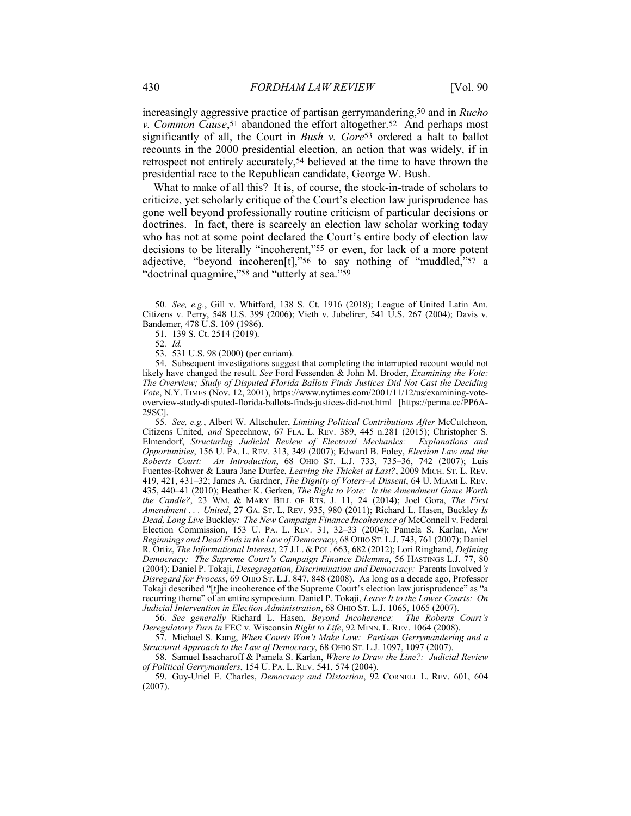*v. Common Cause*,51 abandoned the effort [altogether.52](https://altogether.52) And perhaps most significantly of all, the Court in *Bush v. Gore*53 ordered a halt to ballot recounts in the 2000 presidential election, an action that was widely, if in retrospect not entirely accurately,54 believed at the time to have thrown the increasingly aggressive practice of partisan gerrymandering,50 and in *Rucho* presidential race to the Republican candidate, George W. Bush.

 doctrines. In fact, there is scarcely an election law scholar working today who has not at some point declared the Court's entire body of election law adjective, "beyond incoheren[t],"56 to say nothing of "muddled,"57 a What to make of all this? It is, of course, the stock-in-trade of scholars to criticize, yet scholarly critique of the Court's election law jurisprudence has gone well beyond professionally routine criticism of particular decisions or decisions to be literally "incoherent,"55 or even, for lack of a more potent "doctrinal quagmire,"<sup>58</sup> and "utterly at sea."<sup>59</sup>

 likely have changed the result. *See* Ford Fessenden & John M. Broder, *Examining the Vote:* 54. Subsequent investigations suggest that completing the interrupted recount would not *The Overview; Study of Disputed Florida Ballots Finds Justices Did Not Cast the Deciding Vote*, N.Y. TIMES (Nov. 12, 2001), <https://www.nytimes.com/2001/11/12/us/examining-vote>overview-study-disputed-florida-ballots-finds-justices-did-not.html [[https://perma.cc/PP6A-](https://perma.cc/PP6A)29SC].

 Citizens United*, and* Speechnow, 67 FLA. L. REV. 389, 445 n.281 (2015); Christopher S.  *Roberts Court: An Introduction*, 68 OHIO ST. L.J. 733, 735–36, 742 (2007); Luis Fuentes-Rohwer & Laura Jane Durfee, *Leaving the Thicket at Last?*, 2009 MICH. ST. L. REV. 419, 421, 431–32; James A. Gardner, *The Dignity of Voters–A Dissent*, 64 U. MIAMI L. REV.  435, 440–41 (2010); Heather K. Gerken, *The Right to Vote: Is the Amendment Game Worth* ?, 23 WM.<br>... United,  *Dead, Long Live* Buckley*: The New Campaign Finance Incoherence of* McConnell v. Federal Election Commission, 153 U. PA. L. REV. 31, 32–33 (2004); Pamela S. Karlan, *New Beginnings and Dead Endsin the Law of Democracy*, 68 OHIO ST. L.J. 743, 761 (2007); Daniel R. Ortiz, *The Informational Interest*, 27 J.L. & POL. 663, 682 (2012); Lori Ringhand, *Defining Democracy: The Supreme Court's Campaign Finance Dilemma*, 56 HASTINGS L.J. 77, 80 *Disregard for Process*, 69 OHIO ST. L.J. 847, 848 (2008). As long as a decade ago, Professor Tokaji described "[t]he incoherence of the Supreme Court's election law jurisprudence" as "a recurring theme" of an entire symposium. Daniel P. Tokaji, *Leave It to the Lower Courts: On Judicial Intervention in Election Administration*, 68 OHIO ST. L.J. 1065, 1065 (2007). 55*. See, e.g.*, Albert W. Altschuler, *Limiting Political Contributions After* McCutcheon*,* Elmendorf, *Structuring Judicial Review of Electoral Mechanics: Explanations and Opportunities*, 156 U. PA. L. REV. 313, 349 (2007); Edward B. Foley, *Election Law and the the Candle?*, 23 WM. & MARY BILL OF RTS. J. 11, 24 (2014); Joel Gora, *The First Amendment . . . United*, 27 GA. ST. L. REV. 935, 980 (2011); Richard L. Hasen, Buckley *Is* (2004); Daniel P. Tokaji, *Desegregation, Discrimination and Democracy:* Parents Involved*'s*

 *Deregulatory Turn in* FEC v. Wisconsin *Right to Life*, 92 MINN. L. REV. 1064 (2008). 56*. See generally* Richard L. Hasen, *Beyond Incoherence: The Roberts Court's*

57. Michael S. Kang, *When Courts Won't Make Law: Partisan Gerrymandering and a Structural Approach to the Law of Democracy*, 68 OHIO ST. L.J. 1097, 1097 (2007).

 *of Political Gerrymanders*, 154 U. PA. L. REV. 541, 574 (2004). 58. Samuel Issacharoff & Pamela S. Karlan, *Where to Draw the Line?: Judicial Review*

59. Guy-Uriel E. Charles, *Democracy and Distortion*, 92 CORNELL L. REV. 601, 604 (2007).

<sup>50</sup>*. See, e.g.*, Gill v. Whitford, 138 S. Ct. 1916 (2018); League of United Latin Am. Citizens v. Perry, 548 U.S. 399 (2006); Vieth v. Jubelirer, 541 U.S. 267 (2004); Davis v. Bandemer, 478 U.S. 109 (1986).

<sup>51.</sup> 139 S. Ct. 2514 (2019).

<sup>52</sup>*. Id.*

<sup>53.</sup> 531 U.S. 98 (2000) (per curiam).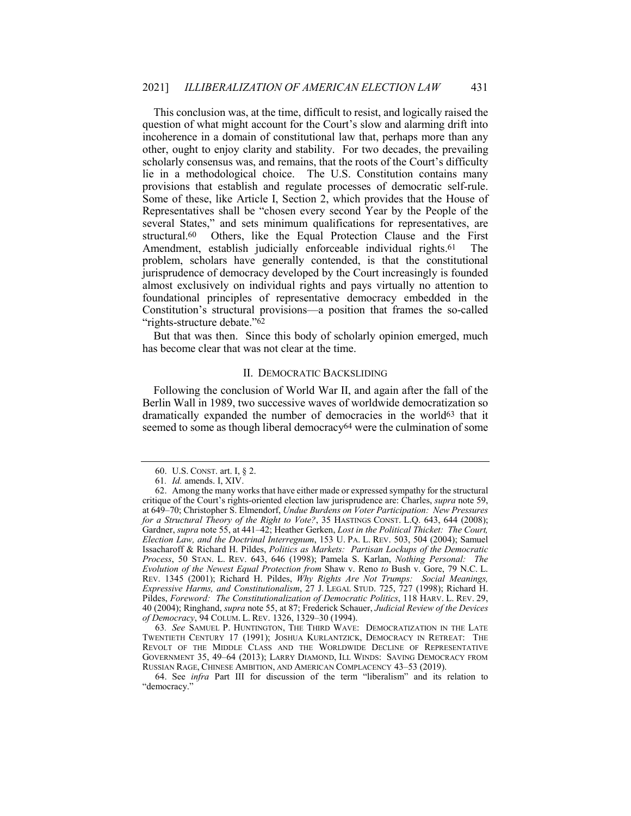<span id="page-9-0"></span> This conclusion was, at the time, difficult to resist, and logically raised the question of what might account for the Court's slow and alarming drift into other, ought to enjoy clarity and stability. For two decades, the prevailing scholarly consensus was, and remains, that the roots of the Court's difficulty provisions that establish and regulate processes of democratic self-rule. Some of these, like Article I, Section 2, which provides that the House of Representatives shall be "chosen every second Year by the People of the structural.60 Amendment, establish judicially enforceable individual rights.<sup>61</sup> The problem, scholars have generally contended, is that the constitutional jurisprudence of democracy developed by the Court increasingly is founded almost exclusively on individual rights and pays virtually no attention to incoherence in a domain of constitutional law that, perhaps more than any lie in a methodological choice. The U.S. Constitution contains many several States," and sets minimum qualifications for representatives, are Others, like the Equal Protection Clause and the First foundational principles of representative democracy embedded in the Constitution's structural provisions—a position that frames the so-called "rights-structure debate."62

 But that was then. Since this body of scholarly opinion emerged, much has become clear that was not clear at the time.

## II. DEMOCRATIC BACKSLIDING

 Following the conclusion of World War II, and again after the fall of the Berlin Wall in 1989, two successive waves of worldwide democratization so dramatically expanded the number of democracies in the world63 that it seemed to some as though liberal democracy<sup>64</sup> were the culmination of some

 TWENTIETH CENTURY 17 (1991); JOSHUA KURLANTZICK, DEMOCRACY IN RETREAT: THE REVOLT OF THE MIDDLE CLASS AND THE WORLDWIDE DECLINE OF REPRESENTATIVE GOVERNMENT 35, 49–64 (2013); LARRY DIAMOND, ILL WINDS: SAVING DEMOCRACY FROM RUSSIAN RAGE, CHINESE AMBITION, AND AMERICAN COMPLACENCY 43–53 (2019). 63*. See* SAMUEL P. HUNTINGTON, THE THIRD WAVE: DEMOCRATIZATION IN THE LATE

<sup>60.</sup> U.S. CONST. art. I, § 2.

<sup>61</sup>*. Id.* amends. I, XIV.

 critique of the Court's rights-oriented election law jurisprudence are: Charles, *supra* note 59, at 649–70; Christopher S. Elmendorf, *Undue Burdens on Voter Participation: New Pressures for a Structural Theory of the Right to Vote?*, 35 HASTINGS CONST. L.Q. 643, 644 (2008); Gardner, *supra* note 55, at 441–42; Heather Gerken, *Lost in the Political Thicket: The Court, Election Law, and the Doctrinal Interregnum*, 153 U. PA. L. REV. 503, 504 (2004); Samuel Issacharoff & Richard H. Pildes, *Politics as Markets: Partisan Lockups of the Democratic Process*, 50 STAN. L. REV. 643, 646 (1998); Pamela S. Karlan, *Nothing Personal: The Evolution of the Newest Equal Protection from* Shaw v. Reno *to* Bush v. Gore, 79 N.C. L. REV. 1345 (2001); Richard H. Pildes, *Why Rights Are Not Trumps: Social Meanings, Expressive Harms, and Constitutionalism*, 27 J. LEGAL STUD. 725, 727 (1998); Richard H. Pildes, *Foreword: The Constitutionalization of Democratic Politics*, 118 HARV. L. REV. 29, *of Democracy*, 94 COLUM. L. REV. 1326, 1329–30 (1994). 62. Among the many works that have either made or expressed sympathy for the structural 40 (2004); Ringhand, *supra* note 55, at 87; Frederick Schauer, *Judicial Review of the Devices*

<sup>64.</sup> See *infra* Part III for discussion of the term "liberalism" and its relation to "democracy."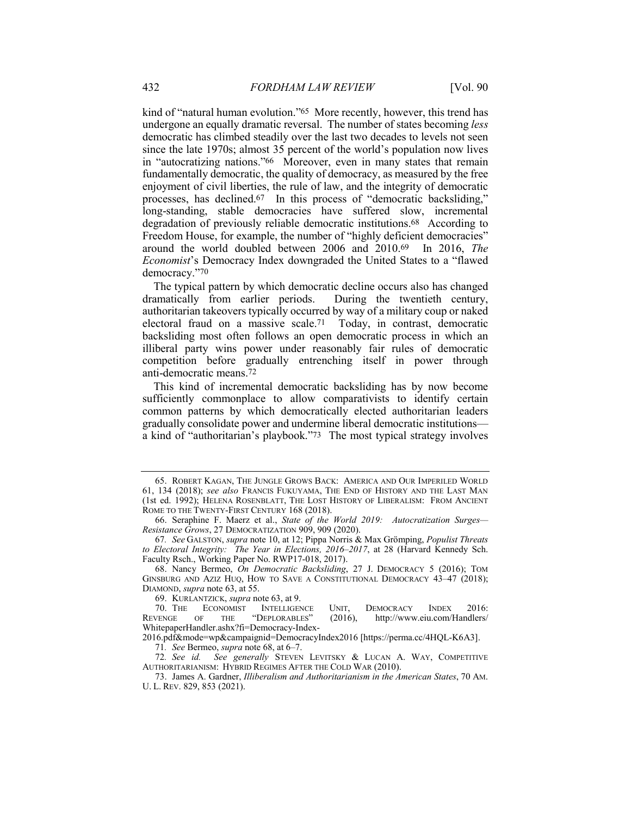kind of "natural human evolution."65 More recently, however, this trend has undergone an equally dramatic reversal. The number of states becoming *less* since the late 1970s; almost 35 percent of the world's population now lives in "autocratizing nations."66 Moreover, even in many states that remain fundamentally democratic, the quality of democracy, as measured by the free processes, has [declined.67](https://declined.67) In this process of "democratic backsliding," degradation of previously reliable democratic [institutions.68](https://institutions.68) According to around the world doubled between 2006 and 2010.69 In 2016, *The Economist*'s Democracy Index downgraded the United States to a "flawed democratic has climbed steadily over the last two decades to levels not seen enjoyment of civil liberties, the rule of law, and the integrity of democratic long-standing, stable democracies have suffered slow, incremental Freedom House, for example, the number of "highly deficient democracies" democracy."70

 The typical pattern by which democratic decline occurs also has changed dramatically from earlier periods. During the twentieth century, authoritarian takeovers typically occurred by way of a military coup or naked electoral fraud on a massive [scale.71](https://scale.71) Today, in contrast, democratic backsliding most often follows an open democratic process in which an illiberal party wins power under reasonably fair rules of democratic competition before gradually entrenching itself in power through anti-democratic [means.72](https://means.72)

 This kind of incremental democratic backsliding has by now become sufficiently commonplace to allow comparativists to identify certain common patterns by which democratically elected authoritarian leaders a kind of "authoritarian's playbook."73 The most typical strategy involves gradually consolidate power and undermine liberal democratic institutions—

 61, 134 (2018); *see also* FRANCIS FUKUYAMA, THE END OF HISTORY AND THE LAST MAN (1st ed. 1992); HELENA ROSENBLATT, THE LOST HISTORY OF LIBERALISM: FROM ANCIENT ROME TO THE TWENTY-FIRST CENTURY 168 (2018). 65. ROBERT KAGAN, THE JUNGLE GROWS BACK: AMERICA AND OUR IMPERILED WORLD

 66. Seraphine F. Maerz et al., *State of the World 2019: Autocratization Surges— Resistance Grows*, 27 DEMOCRATIZATION 909, 909 (2020).

 *to Electoral Integrity: The Year in Elections, 2016–2017*, at 28 (Harvard Kennedy Sch. 67*. See* GALSTON, *supra* note 10, at 12; Pippa Norris & Max Grömping, *Populist Threats*  Faculty Rsch., Working Paper No. RWP17-018, 2017).

 GINSBURG AND AZIZ HUQ, HOW TO SAVE A CONSTITUTIONAL DEMOCRACY 43–47 (2018); 68. Nancy Bermeo, *On Democratic Backsliding*, 27 J. DEMOCRACY 5 (2016); TOM DIAMOND, *supra* note 63, at 55.

<sup>69.</sup> KURLANTZICK, *supra* note 63, at 9.

<sup>70.</sup> THE ECONOMIST INTELLIGENCE UNIT, DEMOCRACY INDEX 2016:<br>REVENGE OF THE "DEPLORABLES" (2016), http://www.eiu.com/Handlers/ OF THE "DEPLORABLES" (2016), <http://www.eiu.com/Handlers>/ WhitepaperHandler.ashx?fi=Democracy-Index-

<sup>2016.</sup>pdf&mode=wp&campaignid=DemocracyIndex2016 [[https://perma.cc/4HQL-K6A3\]](https://perma.cc/4HQL-K6A3). 71*. See* Bermeo, *supra* note 68, at 6–7.

 AUTHORITARIANISM: HYBRID REGIMES AFTER THE COLD WAR (2010). 72*. See id. See generally* STEVEN LEVITSKY & LUCAN A. WAY, COMPETITIVE

 U. L. REV. 829, 853 (2021).73. James A. Gardner, *Illiberalism and Authoritarianism in the American States*, 70 AM.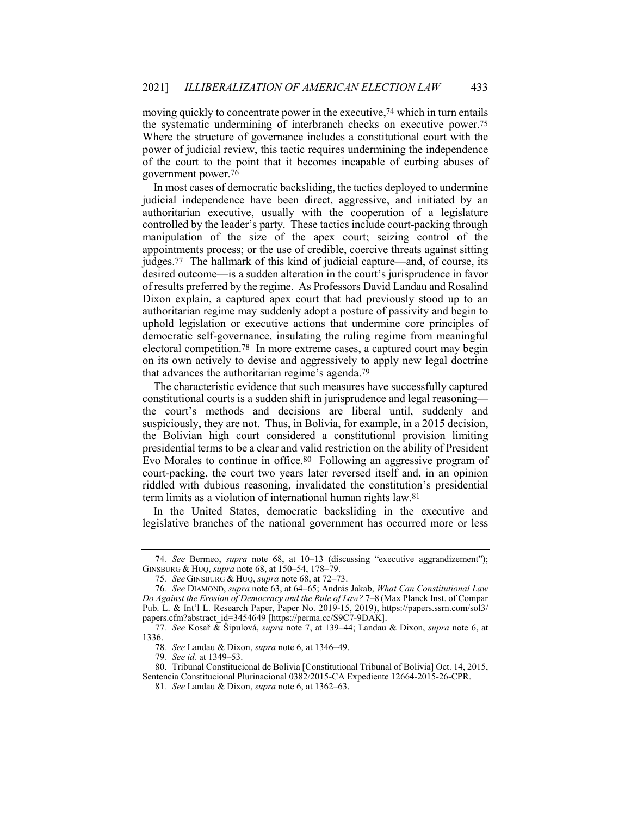the systematic undermining of interbranch checks on executive [power.75](https://power.75) of the court to the point that it becomes incapable of curbing abuses of moving quickly to concentrate power in the executive,74 which in turn entails Where the structure of governance includes a constitutional court with the power of judicial review, this tactic requires undermining the independence government [power.76](https://power.76)

 judicial independence have been direct, aggressive, and initiated by an controlled by the leader's party. These tactics include court-packing through manipulation of the size of the apex court; seizing control of the [judges.77](https://judges.77) The hallmark of this kind of judicial capture—and, of course, its desired outcome—is a sudden alteration in the court's jurisprudence in favor of results preferred by the regime. As Professors David Landau and Rosalind Dixon explain, a captured apex court that had previously stood up to an authoritarian regime may suddenly adopt a posture of passivity and begin to uphold legislation or executive actions that undermine core principles of democratic self-governance, insulating the ruling regime from meaningful electoral [competition.78](https://competition.78) In more extreme cases, a captured court may begin on its own actively to devise and aggressively to apply new legal doctrine In most cases of democratic backsliding, the tactics deployed to undermine authoritarian executive, usually with the cooperation of a legislature appointments process; or the use of credible, coercive threats against sitting that advances the authoritarian regime's [agenda.79](https://agenda.79)

 The characteristic evidence that such measures have successfully captured the court's methods and decisions are liberal until, suddenly and suspiciously, they are not. Thus, in Bolivia, for example, in a 2015 decision, presidential terms to be a clear and valid restriction on the ability of President Evo Morales to continue in [office.80](https://office.80) Following an aggressive program of riddled with dubious reasoning, invalidated the constitution's presidential constitutional courts is a sudden shift in jurisprudence and legal reasoning the Bolivian high court considered a constitutional provision limiting court-packing, the court two years later reversed itself and, in an opinion term limits as a violation of international human rights law.81

 legislative branches of the national government has occurred more or less In the United States, democratic backsliding in the executive and

<sup>74</sup>*. See* Bermeo, *supra* note 68, at 10–13 (discussing "executive aggrandizement"); GINSBURG & HUQ, *supra* note 68, at 150–54, 178–79.

<sup>75</sup>*. See* GINSBURG & HUQ, *supra* note 68, at 72–73.

 *Do Against the Erosion of Democracy and the Rule of Law?* 7–8 (Max Planck Inst. of Compar 76*. See* DIAMOND, *supra* note 63, at 64–65; András Jakab, *What Can Constitutional Law* Pub. L. & Int'l L. Research Paper, Paper No. 2019-15, 2019), <https://papers.ssrn.com/sol3>/ papers.cfm?abstract\_id=3454649 [\[https://perma.cc/S9C7-9DAK](https://perma.cc/S9C7-9DAK)].

<sup>77</sup>*. See* Kosař & Šipulová, *supra* note 7, at 139–44; Landau & Dixon, *supra* note 6, at 1336.

<sup>78</sup>*. See* Landau & Dixon, *supra* note 6, at 1346–49.

<sup>79</sup>*. See id.* at 1349–53.

<sup>80.</sup> Tribunal Constitucional de Bolivia [Constitutional Tribunal of Bolivia] Oct. 14, 2015, Sentencia Constitucional Plurinacional 0382/2015-CA Expediente 12664-2015-26-CPR.

<sup>81</sup>*. See* Landau & Dixon, *supra* note 6, at 1362–63.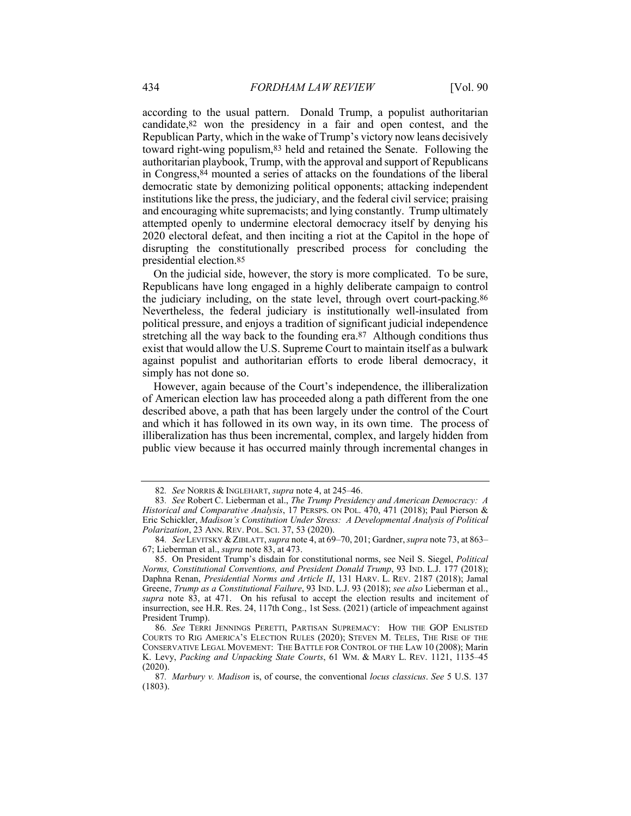candidate,82 won the presidency in a fair and open contest, and the Republican Party, which in the wake of Trump's victory now leans decisively toward right-wing populism,83 held and retained the Senate. Following the authoritarian playbook, Trump, with the approval and support of Republicans democratic state by demonizing political opponents; attacking independent institutions like the press, the judiciary, and the federal civil service; praising and encouraging white supremacists; and lying constantly. Trump ultimately attempted openly to undermine electoral democracy itself by denying his 2020 electoral defeat, and then inciting a riot at the Capitol in the hope of disrupting the constitutionally prescribed process for concluding the according to the usual pattern. Donald Trump, a populist authoritarian in Congress,84 mounted a series of attacks on the foundations of the liberal presidential [election.85](https://election.85)

 On the judicial side, however, the story is more complicated. To be sure, Republicans have long engaged in a highly deliberate campaign to control the judiciary including, on the state level, through overt [court-packing.86](https://court-packing.86) Nevertheless, the federal judiciary is institutionally well-insulated from stretching all the way back to the founding era.87 Although conditions thus political pressure, and enjoys a tradition of significant judicial independence exist that would allow the U.S. Supreme Court to maintain itself as a bulwark against populist and authoritarian efforts to erode liberal democracy, it simply has not done so.

 However, again because of the Court's independence, the illiberalization of American election law has proceeded along a path different from the one public view because it has occurred mainly through incremental changes in described above, a path that has been largely under the control of the Court and which it has followed in its own way, in its own time. The process of illiberalization has thus been incremental, complex, and largely hidden from

<sup>82</sup>*. See* NORRIS & INGLEHART, *supra* note 4, at 245–46.

 *Historical and Comparative Analysis*, 17 PERSPS. ON POL. 470, 471 (2018); Paul Pierson &  Eric Schickler, *Madison's Constitution Under Stress: A Developmental Analysis of Political Polarization*, 23 ANN. REV. POL. SCI. 37, 53 (2020). 83*. See* Robert C. Lieberman et al., *The Trump Presidency and American Democracy: A*

<sup>84</sup>*. See* LEVITSKY &ZIBLATT, *supra* note 4, at 69–70, 201; Gardner, *supra* note 73, at 863– 67; Lieberman et al., *supra* note 83, at 473.

 *Norms, Constitutional Conventions, and President Donald Trump*, 93 IND. L.J. 177 (2018);  Daphna Renan, *Presidential Norms and Article II*, 131 HARV. L. REV. 2187 (2018); Jamal Greene, *Trump as a Constitutional Failure*, 93 IND. L.J. 93 (2018); *see also* Lieberman et al., *supra* note 83, at 471. On his refusal to accept the election results and incitement of insurrection, see H.R. Res. 24, 117th Cong., 1st Sess. (2021) (article of impeachment against 85. On President Trump's disdain for constitutional norms, see Neil S. Siegel, *Political* President Trump).

 COURTS TO RIG AMERICA'S ELECTION RULES (2020); STEVEN M. TELES, THE RISE OF THE CONSERVATIVE LEGAL MOVEMENT: THE BATTLE FOR CONTROL OF THE LAW 10 (2008); Marin K. Levy, *Packing and Unpacking State Courts*, 61 WM. & MARY L. REV. 1121, 1135–45 86*. See* TERRI JENNINGS PERETTI, PARTISAN SUPREMACY: HOW THE GOP ENLISTED (2020).

<sup>87</sup>*. Marbury v. Madison* is, of course, the conventional *locus classicus*. *See* 5 U.S. 137 (1803).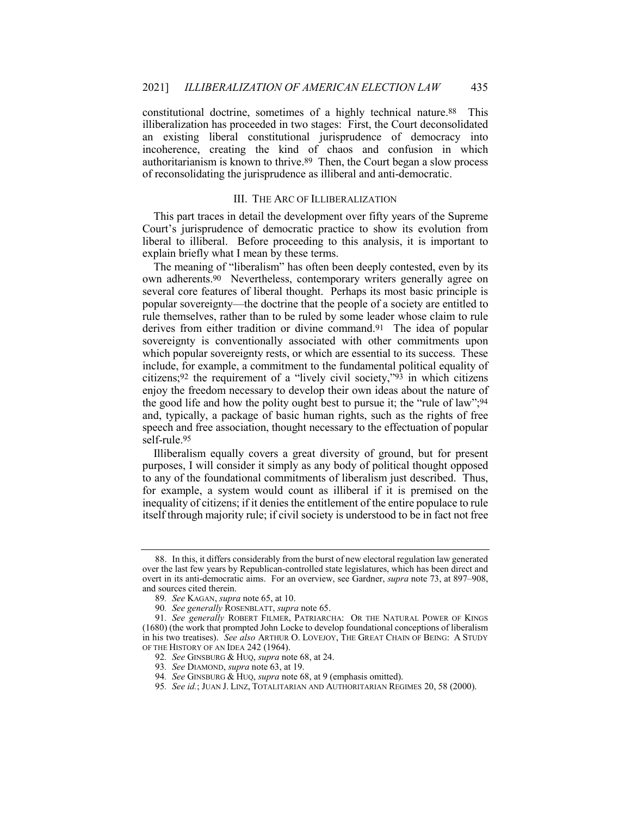<span id="page-13-0"></span> constitutional doctrine, sometimes of a highly technical [nature.88](https://nature.88) This illiberalization has proceeded in two stages: First, the Court deconsolidated an existing liberal constitutional jurisprudence of democracy into authoritarianism is known to [thrive.89](https://thrive.89) Then, the Court began a slow process incoherence, creating the kind of chaos and confusion in which of reconsolidating the jurisprudence as illiberal and anti-democratic.

## III. THE ARC OF ILLIBERALIZATION

 liberal to illiberal. Before proceeding to this analysis, it is important to This part traces in detail the development over fifty years of the Supreme Court's jurisprudence of democratic practice to show its evolution from explain briefly what I mean by these terms.

 The meaning of "liberalism" has often been deeply contested, even by its own [adherents.90](https://adherents.90) Nevertheless, contemporary writers generally agree on rule themselves, rather than to be ruled by some leader whose claim to rule derives from either tradition or divine command.<sup>91</sup> The idea of popular include, for example, a commitment to the fundamental political equality of citizens;92 the requirement of a "lively civil society,"93 in which citizens enjoy the freedom necessary to develop their own ideas about the nature of the good life and how the polity ought best to pursue it; the "rule of law";94 and, typically, a package of basic human rights, such as the rights of free several core features of liberal thought. Perhaps its most basic principle is popular sovereignty—the doctrine that the people of a society are entitled to sovereignty is conventionally associated with other commitments upon which popular sovereignty rests, or which are essential to its success. These speech and free association, thought necessary to the effectuation of popular [self-rule.95](https://self-rule.95)

 Illiberalism equally covers a great diversity of ground, but for present purposes, I will consider it simply as any body of political thought opposed to any of the foundational commitments of liberalism just described. Thus, inequality of citizens; if it denies the entitlement of the entire populace to rule itself through majority rule; if civil society is understood to be in fact not free for example, a system would count as illiberal if it is premised on the

 overt in its anti-democratic aims. For an overview, see Gardner, *supra* note 73, at 897–908, 88. In this, it differs considerably from the burst of new electoral regulation law generated over the last few years by Republican-controlled state legislatures, which has been direct and and sources cited therein.

<sup>89</sup>*. See* KAGAN, *supra* note 65, at 10.

<sup>90</sup>*. See generally* ROSENBLATT, *supra* note 65.

 (1680) (the work that prompted John Locke to develop foundational conceptions of liberalism in his two treatises). *See also* ARTHUR O. LOVEJOY, THE GREAT CHAIN OF BEING: A STUDY OF THE HISTORY OF AN IDEA 242 (1964). 91*. See generally* ROBERT FILMER, PATRIARCHA: OR THE NATURAL POWER OF KINGS

<sup>92</sup>*. See* GINSBURG & HUQ, *supra* note 68, at 24.

<sup>93</sup>*. See* DIAMOND, *supra* note 63, at 19.

<sup>94</sup>*. See* GINSBURG & HUQ, *supra* note 68, at 9 (emphasis omitted).

<sup>95</sup>*. See id.*; JUAN J. LINZ, TOTALITARIAN AND AUTHORITARIAN REGIMES 20, 58 (2000).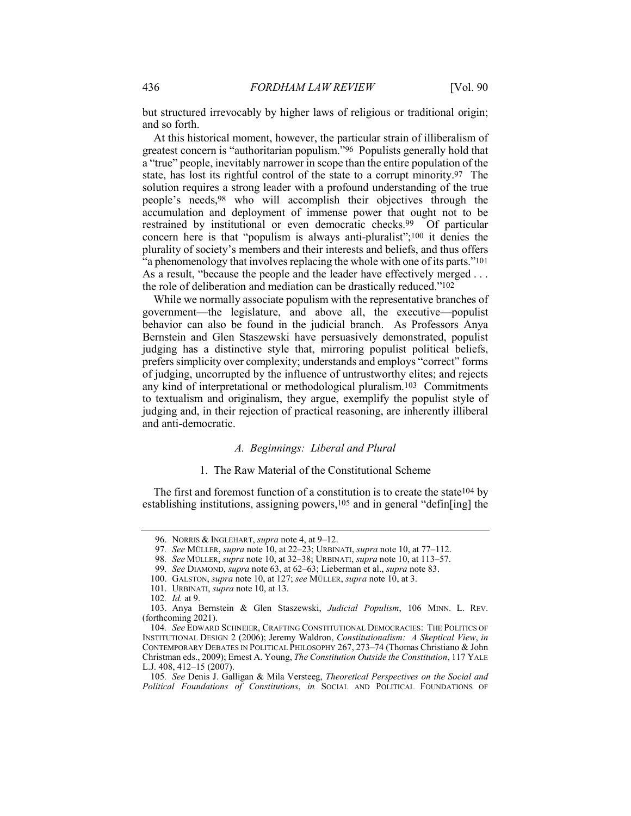<span id="page-14-0"></span> but structured irrevocably by higher laws of religious or traditional origin; and so forth.

 greatest concern is "authoritarian populism."96 Populists generally hold that a "true" people, inevitably narrower in scope than the entire population of the state, has lost its rightful control of the state to a corrupt [minority.97](https://minority.97) The solution requires a strong leader with a profound understanding of the true people's needs,98 who will accomplish their objectives through the accumulation and deployment of immense power that ought not to be restrained by institutional or even democratic checks.<sup>99</sup> Of particular concern here is that "populism is always anti-pluralist";100 it denies the "a phenomenology that involves replacing the whole with one of its parts."101 As a result, "because the people and the leader have effectively merged . . . At this historical moment, however, the particular strain of illiberalism of plurality of society's members and their interests and beliefs, and thus offers the role of deliberation and mediation can be drastically reduced."102

 behavior can also be found in the judicial branch. As Professors Anya any kind of interpretational or methodological pluralism.<sup>103</sup> Commitments to textualism and originalism, they argue, exemplify the populist style of judging and, in their rejection of practical reasoning, are inherently illiberal While we normally associate populism with the representative branches of government—the legislature, and above all, the executive—populist Bernstein and Glen Staszewski have persuasively demonstrated, populist judging has a distinctive style that, mirroring populist political beliefs, prefers simplicity over complexity; understands and employs "correct" forms of judging, uncorrupted by the influence of untrustworthy elites; and rejects and anti-democratic.

## *A. Beginnings: Liberal and Plural*

#### 1. The Raw Material of the Constitutional Scheme

The first and foremost function of a constitution is to create the state<sup>104</sup> by establishing institutions, assigning powers,<sup>105</sup> and in general "defin[ing] the

98*. See* MÜLLER, *supra* note 10, at 32–38; URBINATI, *supra* note 10, at 113–57.

<sup>96.</sup> NORRIS & INGLEHART, *supra* note 4, at 9–12.

<sup>97</sup>*. See* MÜLLER, *supra* note 10, at 22–23; URBINATI, *supra* note 10, at 77–112.

<sup>99</sup>*. See* DIAMOND, *supra* note 63, at 62–63; Lieberman et al., *supra* note 83.

<sup>100.</sup> GALSTON, *supra* note 10, at 127; *see* MÜLLER, *supra* note 10, at 3.

<sup>101.</sup> URBINATI, *supra* note 10, at 13.

<sup>102</sup>*. Id.* at 9.

<sup>103.</sup> Anya Bernstein & Glen Staszewski, *Judicial Populism*, 106 MINN. L. REV. (forthcoming 2021).

 INSTITUTIONAL DESIGN 2 (2006); Jeremy Waldron, *Constitutionalism: A Skeptical View*, *in* CONTEMPORARY DEBATES IN POLITICAL PHILOSOPHY 267, 273–74 (Thomas Christiano & John 104*. See* EDWARD SCHNEIER, CRAFTING CONSTITUTIONAL DEMOCRACIES: THE POLITICS OF Christman eds., 2009); Ernest A. Young, *The Constitution Outside the Constitution*, 117 YALE L.J. 408, 412–15 (2007).

 *Political Foundations of Constitutions*, *in* SOCIAL AND POLITICAL FOUNDATIONS OF 105*. See* Denis J. Galligan & Mila Versteeg, *Theoretical Perspectives on the Social and*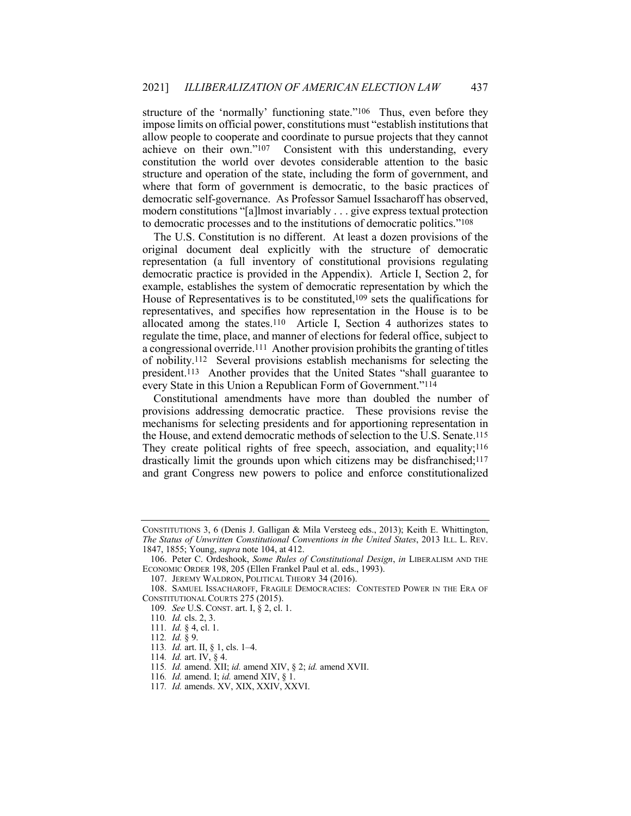structure of the 'normally' functioning state."106 Thus, even before they achieve on their own."107 Consistent with this understanding, every structure and operation of the state, including the form of government, and modern constitutions "[a]lmost invariably . . . give express textual protection impose limits on official power, constitutions must "establish institutions that allow people to cooperate and coordinate to pursue projects that they cannot constitution the world over devotes considerable attention to the basic where that form of government is democratic, to the basic practices of democratic self-governance. As Professor Samuel Issacharoff has observed, to democratic processes and to the institutions of democratic politics."108

 democratic practice is provided in the Appendix). Article I, Section 2, for example, establishes the system of democratic representation by which the House of Representatives is to be constituted,<sup>109</sup> sets the qualifications for representatives, and specifies how representation in the House is to be allocated among the states.110 Article I, Section 4 authorizes states to regulate the time, place, and manner of elections for federal office, subject to a congressional override.111 Another provision prohibits the granting of titles of nobility.112 Several provisions establish mechanisms for selecting the president.113 Another provides that the United States "shall guarantee to The U.S. Constitution is no different. At least a dozen provisions of the original document deal explicitly with the structure of democratic representation (a full inventory of constitutional provisions regulating every State in this Union a Republican Form of Government."114

 provisions addressing democratic practice. These provisions revise the the House, and extend democratic methods of selection to the U.S. Senate.115 drastically limit the grounds upon which citizens may be disfranchised;117 Constitutional amendments have more than doubled the number of mechanisms for selecting presidents and for apportioning representation in They create political rights of free speech, association, and equality;<sup>116</sup> and grant Congress new powers to police and enforce constitutionalized

 CONSTITUTIONS 3, 6 (Denis J. Galligan & Mila Versteeg eds., 2013); Keith E. Whittington,  *The Status of Unwritten Constitutional Conventions in the United States*, 2013 ILL. L. REV. 1847, 1855; Young, *supra* note 104, at 412.

<sup>106.</sup> Peter C. Ordeshook, *Some Rules of Constitutional Design*, *in* LIBERALISM AND THE ECONOMIC ORDER 198, 205 (Ellen Frankel Paul et al. eds., 1993).

<sup>107.</sup> JEREMY WALDRON, POLITICAL THEORY 34 (2016).

 CONSTITUTIONAL COURTS 275 (2015). 108. SAMUEL ISSACHAROFF, FRAGILE DEMOCRACIES: CONTESTED POWER IN THE ERA OF

<sup>109</sup>*. See* U.S. CONST. art. I, § 2, cl. 1.

<sup>110</sup>*. Id.* cls. 2, 3.

<sup>111</sup>*. Id.* § 4, cl. 1.

<sup>112</sup>*. Id.* § 9.

<sup>113</sup>*. Id.* art. II, § 1, cls. 1–4.

<sup>114</sup>*. Id.* art. IV, § 4.

<sup>115</sup>*. Id.* amend. XII; *id.* amend XIV, § 2; *id.* amend XVII.

<sup>116</sup>*. Id.* amend. I; *id.* amend XIV, § 1.

<sup>117</sup>*. Id.* amends. XV, XIX, XXIV, XXVI.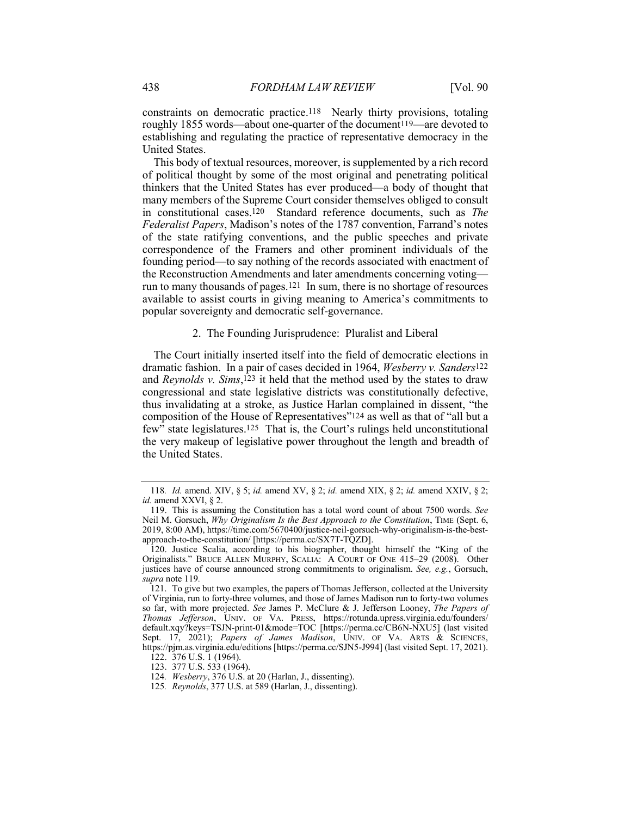<span id="page-16-0"></span> constraints on democratic practice.118 Nearly thirty provisions, totaling roughly 1855 words—about one-quarter of the document<sup>119</sup>—are devoted to establishing and regulating the practice of representative democracy in the United States.

 This body of textual resources, moreover, is supplemented by a rich record of political thought by some of the most original and penetrating political thinkers that the United States has ever produced—a body of thought that many members of the Supreme Court consider themselves obliged to consult in constitutional cases.120 Standard reference documents, such as *The* founding period—to say nothing of the records associated with enactment of run to many thousands of pages.121 In sum, there is no shortage of resources available to assist courts in giving meaning to America's commitments to *Federalist Papers*, Madison's notes of the 1787 convention, Farrand's notes of the state ratifying conventions, and the public speeches and private correspondence of the Framers and other prominent individuals of the the Reconstruction Amendments and later amendments concerning voting popular sovereignty and democratic self-governance.

#### 2. The Founding Jurisprudence: Pluralist and Liberal

 The Court initially inserted itself into the field of democratic elections in dramatic fashion. In a pair of cases decided in 1964, *Wesberry v. Sanders*122 and *Reynolds v. Sims*,123 it held that the method used by the states to draw congressional and state legislative districts was constitutionally defective, thus invalidating at a stroke, as Justice Harlan complained in dissent, "the composition of the House of Representatives"124 as well as that of "all but a few" state legislatures.125 That is, the Court's rulings held unconstitutional the very makeup of legislative power throughout the length and breadth of the United States.

 *id.* amend XXVI, § 2. 118*. Id.* amend. XIV, § 5; *id.* amend XV, § 2; *id.* amend XIX, § 2; *id.* amend XXIV, § 2;

 Neil M. Gorsuch, *Why Originalism Is the Best Approach to the Constitution*, TIME (Sept. 6, 119. This is assuming the Constitution has a total word count of about 7500 words. *See* 2019, 8:00 AM),<https://time.com/5670400/justice-neil-gorsuch-why-originalism-is-the-best>approach-to-the-constitution/ [<https://perma.cc/SX7T-TQZD>].

 Originalists." BRUCE ALLEN MURPHY, SCALIA: A COURT OF ONE 415–29 (2008). Other justices have of course announced strong commitments to originalism. *See, e.g.*, Gorsuch, *supra* note 119*.* 120. Justice Scalia, according to his biographer, thought himself the "King of the

 of Virginia, run to forty-three volumes, and those of James Madison run to forty-two volumes so far, with more projected. *See* James P. McClure & J. Jefferson Looney, *The Papers of*  OF VA. PRESS, https://rotunda.upress.virginia.eo<br>nt-01&mode=TOC [https://perma.cc/CB6N-NXU5] Sept. 17, 2021); *Papers of James Madison*, UNIV. OF VA. ARTS & SCIENCES, 121. To give but two examples, the papers of Thomas Jefferson, collected at the University *Thomas Jefferson*, UNIV. OF VA. PRESS, <https://rotunda.upress.virginia.edu/founders>/ default.xqy?keys=TSJN-print-01&mode=TOC [<https://perma.cc/CB6N-NXU5>] (last visited <https://pjm.as.virginia.edu/editions>[<https://perma.cc/SJN5-J994>] (last visited Sept. 17, 2021). 122. 376 U.S. 1 (1964).

<sup>123.</sup> 377 U.S. 533 (1964).

<sup>124</sup>*. Wesberry*, 376 U.S. at 20 (Harlan, J., dissenting).

<sup>125</sup>*. Reynolds*, 377 U.S. at 589 (Harlan, J., dissenting).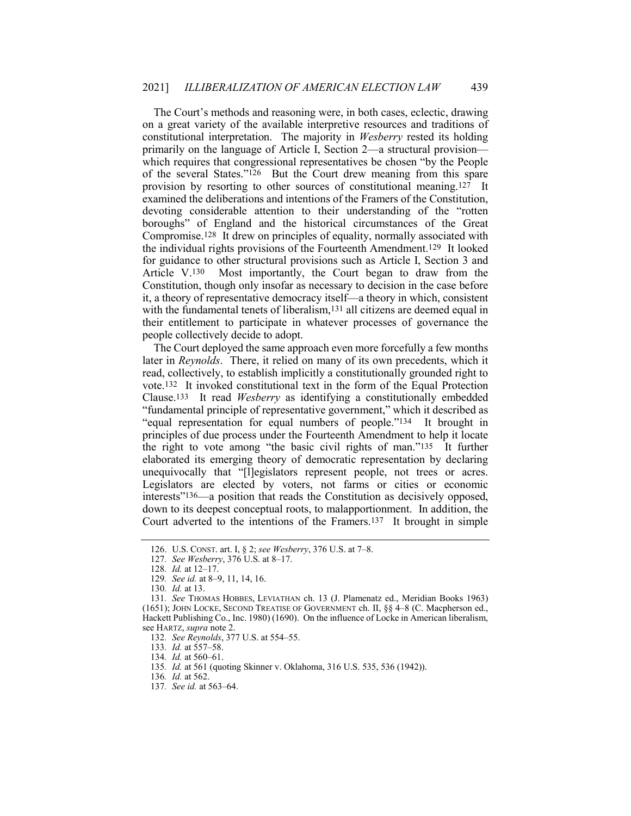The Court's methods and reasoning were, in both cases, eclectic, drawing on a great variety of the available interpretive resources and traditions of constitutional interpretation. The majority in *Wesberry* rested its holding primarily on the language of Article I, Section 2—a structural provision— which requires that congressional representatives be chosen "by the People of the several States."126 But the Court drew meaning from this spare provision by resorting to other sources of constitutional meaning.127 It examined the deliberations and intentions of the Framers of the Constitution, boroughs" of England and the historical circumstances of the Great Compromise.128 It drew on principles of equality, normally associated with the individual rights provisions of the Fourteenth Amendment.129 It looked Article V.130 with the fundamental tenets of liberalism,<sup>131</sup> all citizens are deemed equal in devoting considerable attention to their understanding of the "rotten for guidance to other structural provisions such as Article I, Section 3 and Most importantly, the Court began to draw from the Constitution, though only insofar as necessary to decision in the case before it, a theory of representative democracy itself—a theory in which, consistent their entitlement to participate in whatever processes of governance the people collectively decide to adopt.

 later in *Reynolds*. There, it relied on many of its own precedents, which it read, collectively, to establish implicitly a constitutionally grounded right to vote.132 It invoked constitutional text in the form of the Equal Protection Clause.133 It read *Wesberry* as identifying a constitutionally embedded "equal representation for equal numbers of people."134 It brought in principles of due process under the Fourteenth Amendment to help it locate the right to vote among "the basic civil rights of man."135 It further elaborated its emerging theory of democratic representation by declaring unequivocally that "[l]egislators represent people, not trees or acres. interests"136—a position that reads the Constitution as decisively opposed, Court adverted to the intentions of the Framers.137 It brought in simple The Court deployed the same approach even more forcefully a few months "fundamental principle of representative government," which it described as Legislators are elected by voters, not farms or cities or economic down to its deepest conceptual roots, to malapportionment. In addition, the

<sup>126.</sup> U.S. CONST. art. I, § 2; *see Wesberry*, 376 U.S. at 7–8.

<sup>127</sup>*. See Wesberry*, 376 U.S. at 8–17.

<sup>128</sup>*. Id.* at 12–17.

<sup>129</sup>*. See id.* at 8–9, 11, 14, 16.

<sup>130</sup>*. Id.* at 13.

 (1651); JOHN LOCKE, SECOND TREATISE OF GOVERNMENT ch. II, §§ 4–8 (C. Macpherson ed., see HARTZ, *supra* note 2. 131*. See* THOMAS HOBBES, LEVIATHAN ch. 13 (J. Plamenatz ed., Meridian Books 1963) Hackett Publishing Co., Inc. 1980) (1690). On the influence of Locke in American liberalism,

<sup>132</sup>*. See Reynolds*, 377 U.S. at 554–55.

<sup>133</sup>*. Id.* at 557–58.

<sup>134</sup>*. Id.* at 560–61.

<sup>135</sup>*. Id.* at 561 (quoting Skinner v. Oklahoma, 316 U.S. 535, 536 (1942)).

<sup>136</sup>*. Id.* at 562.

<sup>137</sup>*. See id.* at 563–64.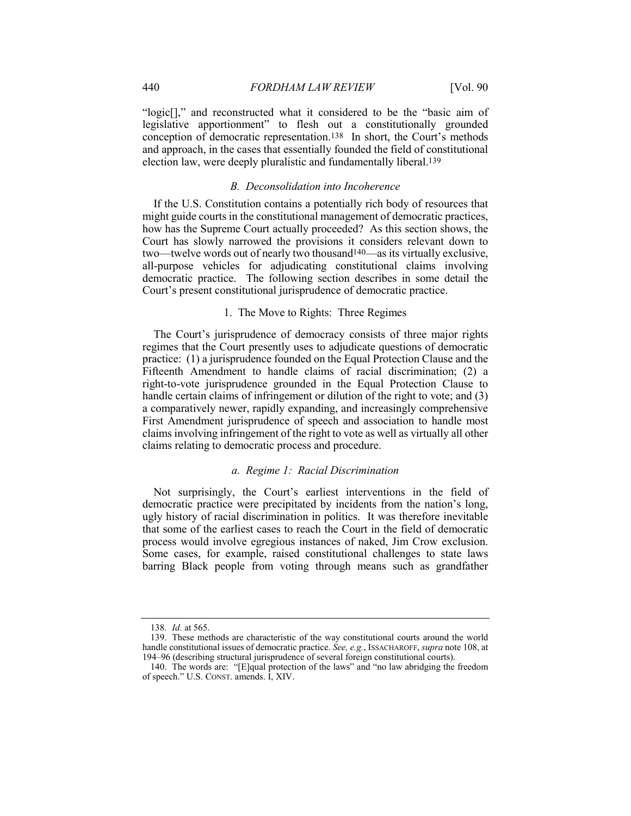<span id="page-18-0"></span> "logic[]," and reconstructed what it considered to be the "basic aim of legislative apportionment" to flesh out a constitutionally grounded conception of democratic representation.138 In short, the Court's methods and approach, in the cases that essentially founded the field of constitutional election law, were deeply pluralistic and fundamentally liberal.139

## *B. Deconsolidation into Incoherence*

 If the U.S. Constitution contains a potentially rich body of resources that how has the Supreme Court actually proceeded? As this section shows, the two—twelve words out of nearly two thousand140—as its virtually exclusive, democratic practice. The following section describes in some detail the might guide courts in the constitutional management of democratic practices, Court has slowly narrowed the provisions it considers relevant down to all-purpose vehicles for adjudicating constitutional claims involving Court's present constitutional jurisprudence of democratic practice.

#### 1. The Move to Rights: Three Regimes

 The Court's jurisprudence of democracy consists of three major rights regimes that the Court presently uses to adjudicate questions of democratic practice: (1) a jurisprudence founded on the Equal Protection Clause and the claims involving infringement of the right to vote as well as virtually all other Fifteenth Amendment to handle claims of racial discrimination; (2) a right-to-vote jurisprudence grounded in the Equal Protection Clause to handle certain claims of infringement or dilution of the right to vote; and (3) a comparatively newer, rapidly expanding, and increasingly comprehensive First Amendment jurisprudence of speech and association to handle most claims relating to democratic process and procedure.

## *a. Regime 1: Racial Discrimination*

 democratic practice were precipitated by incidents from the nation's long, ugly history of racial discrimination in politics. It was therefore inevitable process would involve egregious instances of naked, Jim Crow exclusion. Some cases, for example, raised constitutional challenges to state laws barring Black people from voting through means such as grandfather Not surprisingly, the Court's earliest interventions in the field of that some of the earliest cases to reach the Court in the field of democratic

<sup>138</sup>*. Id.* at 565.

 handle constitutional issues of democratic practice. *See, e.g.*, ISSACHAROFF, *supra* note 108, at 194–96 (describing structural jurisprudence of several foreign constitutional courts). 139. These methods are characteristic of the way constitutional courts around the world

<sup>140.</sup> The words are: "[E]qual protection of the laws" and "no law abridging the freedom of speech." U.S. CONST. amends. I, XIV.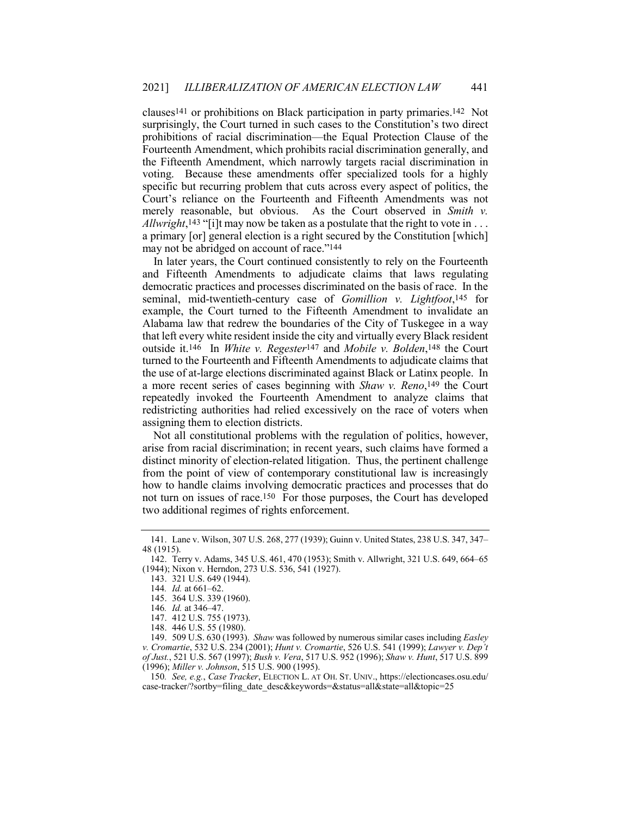clauses141 or prohibitions on Black participation in party primaries.142 Not the Fifteenth Amendment, which narrowly targets racial discrimination in voting. Because these amendments offer specialized tools for a highly specific but recurring problem that cuts across every aspect of politics, the Court's reliance on the Fourteenth and Fifteenth Amendments was not merely reasonable, but obvious. As the Court observed in *Smith v. Allwright*,143 "[i]t may now be taken as a postulate that the right to vote in . . . surprisingly, the Court turned in such cases to the Constitution's two direct prohibitions of racial discrimination—the Equal Protection Clause of the Fourteenth Amendment, which prohibits racial discrimination generally, and a primary [or] general election is a right secured by the Constitution [which] may not be abridged on account of race."144

 In later years, the Court continued consistently to rely on the Fourteenth seminal, mid-twentieth-century case of *Gomillion v. Lightfoot*,145 for Alabama law that redrew the boundaries of the City of Tuskegee in a way that left every white resident inside the city and virtually every Black resident outside it.146 In *White v. Regester*147 and *Mobile v. Bolden*,148 the Court turned to the Fourteenth and Fifteenth Amendments to adjudicate claims that a more recent series of cases beginning with *Shaw v. Reno*,149 the Court redistricting authorities had relied excessively on the race of voters when and Fifteenth Amendments to adjudicate claims that laws regulating democratic practices and processes discriminated on the basis of race. In the example, the Court turned to the Fifteenth Amendment to invalidate an the use of at-large elections discriminated against Black or Latinx people. In repeatedly invoked the Fourteenth Amendment to analyze claims that assigning them to election districts.

 distinct minority of election-related litigation. Thus, the pertinent challenge how to handle claims involving democratic practices and processes that do not turn on issues of race.<sup>150</sup> For those purposes, the Court has developed Not all constitutional problems with the regulation of politics, however, arise from racial discrimination; in recent years, such claims have formed a from the point of view of contemporary constitutional law is increasingly two additional regimes of rights enforcement.

 48 (1915). 141. Lane v. Wilson, 307 U.S. 268, 277 (1939); Guinn v. United States, 238 U.S. 347, 347–

<sup>142.</sup> Terry v. Adams, 345 U.S. 461, 470 (1953); Smith v. Allwright, 321 U.S. 649, 664–65 (1944); Nixon v. Herndon, 273 U.S. 536, 541 (1927).

<sup>143.</sup> 321 U.S. 649 (1944).

<sup>144</sup>*. Id.* at 661–62.

<sup>145.</sup> 364 U.S. 339 (1960).

<sup>146</sup>*. Id.* at 346–47.

<sup>147.</sup> 412 U.S. 755 (1973).

<sup>148.</sup> 446 U.S. 55 (1980).

 *of Just.*, 521 U.S. 567 (1997); *Bush v. Vera*, 517 U.S. 952 (1996); *Shaw v. Hunt*, 517 U.S. 899 149. 509 U.S. 630 (1993). *Shaw* was followed by numerous similar cases including *Easley v. Cromartie*, 532 U.S. 234 (2001); *Hunt v. Cromartie*, 526 U.S. 541 (1999); *Lawyer v. Dep't*  (1996); *Miller v. Johnson*, 515 U.S. 900 (1995).

<sup>150</sup>*. See, e.g.*, *Case Tracker*, ELECTION L. AT OH. ST. UNIV., <https://electioncases.osu.edu>/ case-tracker/?sortby=filing\_date\_desc&keywords=&status=all&state=all&topic=25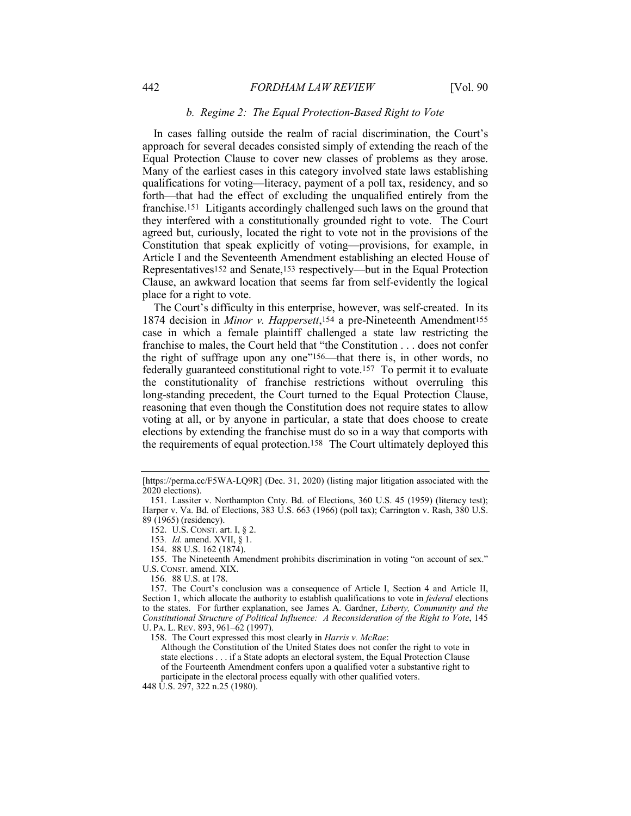## *b. Regime 2: The Equal Protection-Based Right to Vote*

<span id="page-20-0"></span> Equal Protection Clause to cover new classes of problems as they arose. qualifications for voting—literacy, payment of a poll tax, residency, and so forth—that had the effect of excluding the unqualified entirely from the franchise.151 Litigants accordingly challenged such laws on the ground that agreed but, curiously, located the right to vote not in the provisions of the Constitution that speak explicitly of voting—provisions, for example, in Clause, an awkward location that seems far from self-evidently the logical In cases falling outside the realm of racial discrimination, the Court's approach for several decades consisted simply of extending the reach of the Many of the earliest cases in this category involved state laws establishing they interfered with a constitutionally grounded right to vote. The Court Article I and the Seventeenth Amendment establishing an elected House of Representatives152 and Senate,153 respectively—but in the Equal Protection place for a right to vote.

 The Court's difficulty in this enterprise, however, was self-created. In its case in which a female plaintiff challenged a state law restricting the franchise to males, the Court held that "the Constitution . . . does not confer the right of suffrage upon any one"<sup>156</sup>—that there is, in other words, no federally guaranteed constitutional right to vote.157 To permit it to evaluate the constitutionality of franchise restrictions without overruling this long-standing precedent, the Court turned to the Equal Protection Clause, reasoning that even though the Constitution does not require states to allow voting at all, or by anyone in particular, a state that does choose to create elections by extending the franchise must do so in a way that comports with the requirements of equal protection.158 The Court ultimately deployed this 1874 decision in *Minor v. Happersett*,154 a pre-Nineteenth Amendment155

 [\[https://perma.cc/F5WA-LQ9R](https://perma.cc/F5WA-LQ9R)] (Dec. 31, 2020) (listing major litigation associated with the 2020 elections).

 Harper v. Va. Bd. of Elections, 383 U.S. 663 (1966) (poll tax); Carrington v. Rash, 380 U.S. 151. Lassiter v. Northampton Cnty. Bd. of Elections, 360 U.S. 45 (1959) (literacy test); 89 (1965) (residency).

<sup>152.</sup> U.S. CONST. art. I, § 2.

<sup>153</sup>*. Id.* amend. XVII, § 1.

<sup>154.</sup> 88 U.S. 162 (1874).

 U.S. CONST. amend. XIX. 155. The Nineteenth Amendment prohibits discrimination in voting "on account of sex."

<sup>156</sup>*.* 88 U.S. at 178.

 Section 1, which allocate the authority to establish qualifications to vote in *federal* elections to the states. For further explanation, see James A. Gardner, *Liberty, Community and the Constitutional Structure of Political Influence: A Reconsideration of the Right to Vote*, 145 U. PA. L. REV. 893, 961–62 (1997). 157. The Court's conclusion was a consequence of Article I, Section 4 and Article II,

<sup>158.</sup> The Court expressed this most clearly in *Harris v. McRae*:

 state elections . . . if a State adopts an electoral system, the Equal Protection Clause of the Fourteenth Amendment confers upon a qualified voter a substantive right to Although the Constitution of the United States does not confer the right to vote in participate in the electoral process equally with other qualified voters.

 448 U.S. 297, 322 n.25 (1980).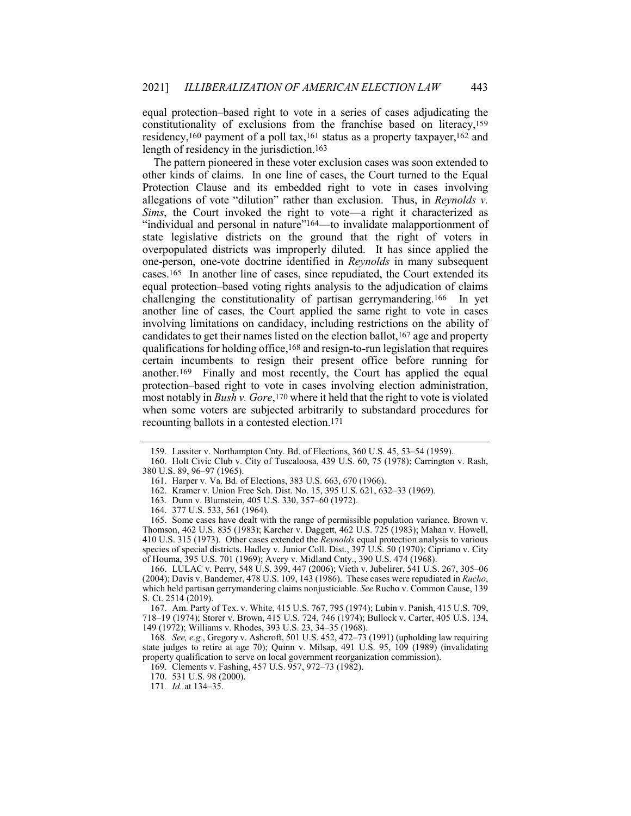equal protection–based right to vote in a series of cases adjudicating the constitutionality of exclusions from the franchise based on literacy,159 residency,160 payment of a poll tax,161 status as a property taxpayer,162 and length of residency in the jurisdiction.163

 The pattern pioneered in these voter exclusion cases was soon extended to Protection Clause and its embedded right to vote in cases involving *Sims*, the Court invoked the right to vote—a right it characterized as state legislative districts on the ground that the right of voters in overpopulated districts was improperly diluted. It has since applied the one-person, one-vote doctrine identified in *Reynolds* in many subsequent cases.165 In another line of cases, since repudiated, the Court extended its challenging the constitutionality of partisan gerrymandering.166 In yet involving limitations on candidacy, including restrictions on the ability of qualifications for holding office,168 and resign-to-run legislation that requires certain incumbents to resign their present office before running for another.169 Finally and most recently, the Court has applied the equal protection–based right to vote in cases involving election administration, most notably in *Bush v. Gore*,170 where it held that the right to vote is violated when some voters are subjected arbitrarily to substandard procedures for other kinds of claims. In one line of cases, the Court turned to the Equal allegations of vote "dilution" rather than exclusion. Thus, in *Reynolds v.* "individual and personal in nature"164—to invalidate malapportionment of equal protection–based voting rights analysis to the adjudication of claims another line of cases, the Court applied the same right to vote in cases candidates to get their names listed on the election ballot,167 age and property recounting ballots in a contested election.171

 (2004); Davis v. Bandemer, 478 U.S. 109, 143 (1986). These cases were repudiated in *Rucho*, which held partisan gerrymandering claims nonjusticiable. *See* Rucho v. Common Cause, 139 166. LULAC v. Perry, 548 U.S. 399, 447 (2006); Vieth v. Jubelirer, 541 U.S. 267, 305–06 S. Ct. 2514 (2019).

 718–19 (1974); Storer v. Brown, 415 U.S. 724, 746 (1974); Bullock v. Carter, 405 U.S. 134, 149 (1972); Williams v. Rhodes, 393 U.S. 23, 34–35 (1968). 167. Am. Party of Tex. v. White, 415 U.S. 767, 795 (1974); Lubin v. Panish, 415 U.S. 709,

 state judges to retire at age 70); Quinn v. Milsap, 491 U.S. 95, 109 (1989) (invalidating 168*. See, e.g.*, Gregory v. Ashcroft, 501 U.S. 452, 472–73 (1991) (upholding law requiring property qualification to serve on local government reorganization commission).

169. Clements v. Fashing, 457 U.S. 957, 972–73 (1982).

<sup>159.</sup> Lassiter v. Northampton Cnty. Bd. of Elections, 360 U.S. 45, 53–54 (1959).

 380 U.S. 89, 96–97 (1965). 160. Holt Civic Club v. City of Tuscaloosa, 439 U.S. 60, 75 (1978); Carrington v. Rash,

<sup>161.</sup> Harper v. Va. Bd. of Elections, 383 U.S. 663, 670 (1966).

<sup>162.</sup> Kramer v. Union Free Sch. Dist. No. 15, 395 U.S. 621, 632–33 (1969).

<sup>163.</sup> Dunn v. Blumstein, 405 U.S. 330, 357–60 (1972).

<sup>164.</sup> 377 U.S. 533, 561 (1964).

 Thomson, 462 U.S. 835 (1983); Karcher v. Daggett, 462 U.S. 725 (1983); Mahan v. Howell, species of special districts. Hadley v. Junior Coll. Dist., 397 U.S. 50 (1970); Cipriano v. City 165. Some cases have dealt with the range of permissible population variance. Brown v. 410 U.S. 315 (1973). Other cases extended the *Reynolds* equal protection analysis to various of Houma, 395 U.S. 701 (1969); Avery v. Midland Cnty., 390 U.S. 474 (1968).

<sup>170.</sup> 531 U.S. 98 (2000).

<sup>171</sup>*. Id.* at 134–35.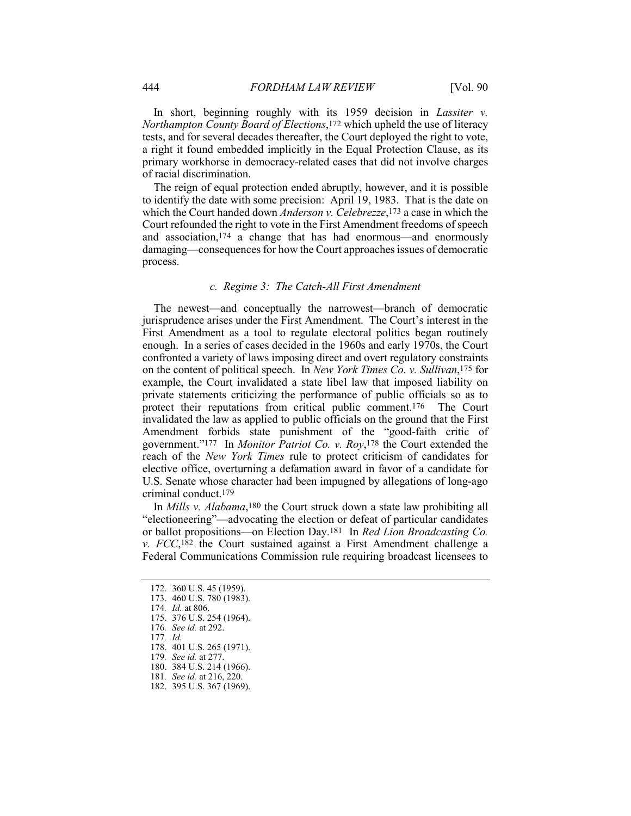<span id="page-22-0"></span> In short, beginning roughly with its 1959 decision in *Lassiter v. Northampton County Board of Elections*,172 which upheld the use of literacy tests, and for several decades thereafter, the Court deployed the right to vote, a right it found embedded implicitly in the Equal Protection Clause, as its primary workhorse in democracy-related cases that did not involve charges of racial discrimination.

 The reign of equal protection ended abruptly, however, and it is possible to identify the date with some precision: April 19, 1983. That is the date on  which the Court handed down *Anderson v. Celebrezze*,173 a case in which the and association,174 a change that has had enormous—and enormously damaging—consequences for how the Court approaches issues of democratic Court refounded the right to vote in the First Amendment freedoms of speech process.

#### *c. Regime 3: The Catch-All First Amendment*

 confronted a variety of laws imposing direct and overt regulatory constraints on the content of political speech. In *New York Times Co. v. Sullivan*,175 for protect their reputations from critical public comment.176 The Court invalidated the law as applied to public officials on the ground that the First Amendment forbids state punishment of the "good-faith critic of government."177 In *Monitor Patriot Co. v. Roy*,178 the Court extended the reach of the *New York Times* rule to protect criticism of candidates for U.S. Senate whose character had been impugned by allegations of long-ago The newest—and conceptually the narrowest—branch of democratic jurisprudence arises under the First Amendment. The Court's interest in the First Amendment as a tool to regulate electoral politics began routinely enough. In a series of cases decided in the 1960s and early 1970s, the Court example, the Court invalidated a state libel law that imposed liability on private statements criticizing the performance of public officials so as to elective office, overturning a defamation award in favor of a candidate for criminal conduct.179

 In *Mills v. Alabama*,180 the Court struck down a state law prohibiting all "electioneering"—advocating the election or defeat of particular candidates or ballot propositions—on Election Day.181 In *Red Lion Broadcasting Co. v. FCC*,182 the Court sustained against a First Amendment challenge a Federal Communications Commission rule requiring broadcast licensees to

180. 384 U.S. 214 (1966).

182. 395 U.S. 367 (1969).

<sup>172.</sup> 360 U.S. 45 (1959).

<sup>173.</sup> 460 U.S. 780 (1983).

<sup>174</sup>*. Id.* at 806.

<sup>175.</sup> 376 U.S. 254 (1964).

<sup>176</sup>*. See id.* at 292.

<sup>177</sup>*. Id.* 178. 401 U.S. 265 (1971).

<sup>179</sup>*. See id.* at 277.

<sup>181</sup>*. See id.* at 216, 220.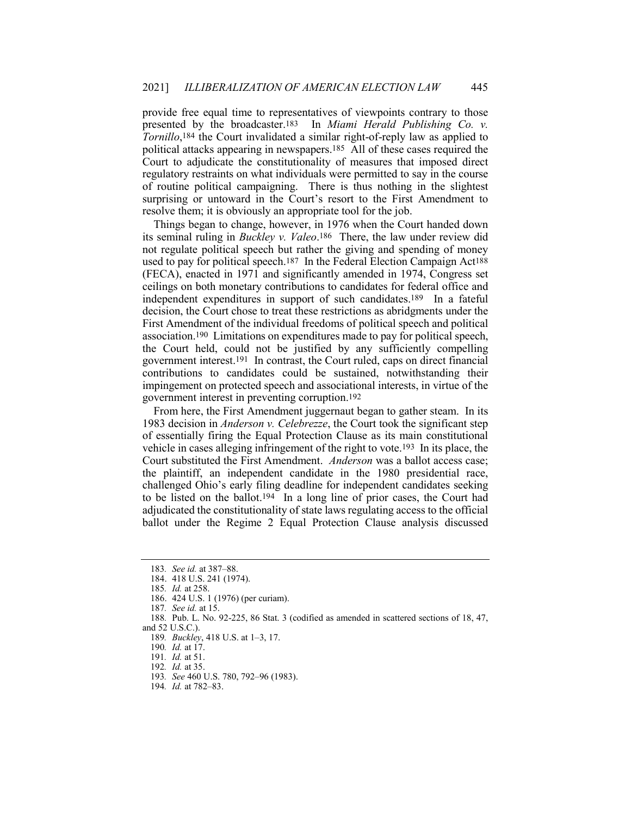provide free equal time to representatives of viewpoints contrary to those presented by the broadcaster.183 In *Miami Herald Publishing Co. v.* political attacks appearing in newspapers.185 All of these cases required the regulatory restraints on what individuals were permitted to say in the course *Tornillo*,184 the Court invalidated a similar right-of-reply law as applied to Court to adjudicate the constitutionality of measures that imposed direct of routine political campaigning. There is thus nothing in the slightest surprising or untoward in the Court's resort to the First Amendment to resolve them; it is obviously an appropriate tool for the job.

 its seminal ruling in *Buckley v. Valeo*.186 There, the law under review did not regulate political speech but rather the giving and spending of money used to pay for political speech.187 In the Federal Election Campaign Act188 (FECA), enacted in 1971 and significantly amended in 1974, Congress set independent expenditures in support of such candidates.189 In a fateful decision, the Court chose to treat these restrictions as abridgments under the First Amendment of the individual freedoms of political speech and political association.190 Limitations on expenditures made to pay for political speech, the Court held, could not be justified by any sufficiently compelling government interest.191 In contrast, the Court ruled, caps on direct financial contributions to candidates could be sustained, notwithstanding their Things began to change, however, in 1976 when the Court handed down ceilings on both monetary contributions to candidates for federal office and impingement on protected speech and associational interests, in virtue of the government interest in preventing corruption.192

 From here, the First Amendment juggernaut began to gather steam. In its 1983 decision in *Anderson v. Celebrezze*, the Court took the significant step of essentially firing the Equal Protection Clause as its main constitutional vehicle in cases alleging infringement of the right to vote.193 In its place, the Court substituted the First Amendment. *Anderson* was a ballot access case; challenged Ohio's early filing deadline for independent candidates seeking to be listed on the ballot.194 In a long line of prior cases, the Court had ballot under the Regime 2 Equal Protection Clause analysis discussed the plaintiff, an independent candidate in the 1980 presidential race, adjudicated the constitutionality of state laws regulating access to the official

- 191*. Id.* at 51.
- 192*. Id.* at 35.

<sup>183</sup>*. See id.* at 387–88.

<sup>184.</sup> 418 U.S. 241 (1974).

<sup>185</sup>*. Id.* at 258.

<sup>186.</sup> 424 U.S. 1 (1976) (per curiam).

<sup>187</sup>*. See id.* at 15.

<sup>188</sup>*.* Pub. L. No. 92-225, 86 Stat. 3 (codified as amended in scattered sections of 18, 47, and 52 U.S.C.).

<sup>189</sup>*. Buckley*, 418 U.S. at 1–3, 17.

<sup>190</sup>*. Id.* at 17.

<sup>193</sup>*. See* 460 U.S. 780, 792–96 (1983).

<sup>194</sup>*. Id.* at 782–83.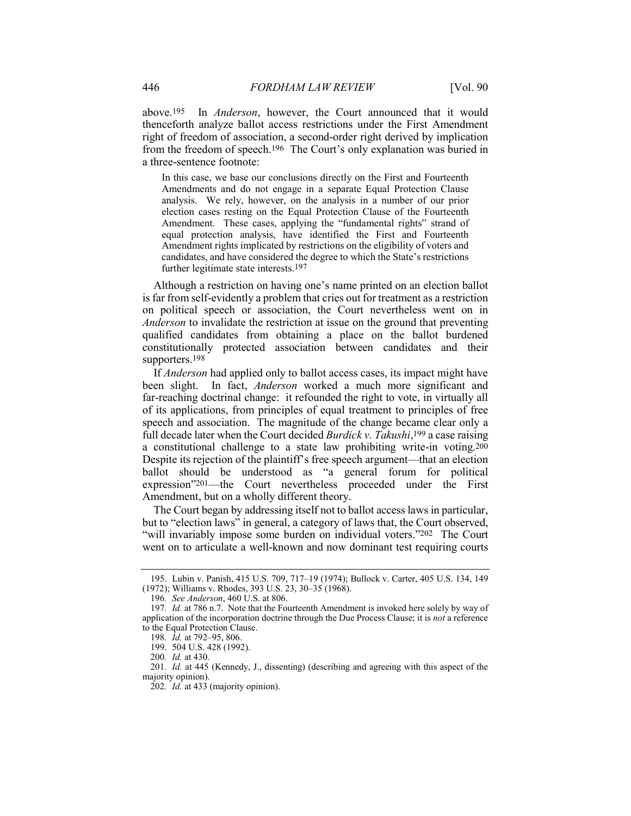above.195 In *Anderson*, however, the Court announced that it would right of freedom of association, a second-order right derived by implication from the freedom of speech.196 The Court's only explanation was buried in thenceforth analyze ballot access restrictions under the First Amendment a three-sentence footnote:

 Amendments and do not engage in a separate Equal Protection Clause election cases resting on the Equal Protection Clause of the Fourteenth Amendment. These cases, applying the "fundamental rights" strand of equal protection analysis, have identified the First and Fourteenth Amendment rights implicated by restrictions on the eligibility of voters and In this case, we base our conclusions directly on the First and Fourteenth analysis. We rely, however, on the analysis in a number of our prior candidates, and have considered the degree to which the State's restrictions further legitimate state interests.197

 Although a restriction on having one's name printed on an election ballot is far from self-evidently a problem that cries out for treatment as a restriction qualified candidates from obtaining a place on the ballot burdened constitutionally protected association between candidates and their on political speech or association, the Court nevertheless went on in *Anderson* to invalidate the restriction at issue on the ground that preventing supporters.198

 been slight. In fact, *Anderson* worked a much more significant and far-reaching doctrinal change: it refounded the right to vote, in virtually all speech and association. The magnitude of the change became clear only a a constitutional challenge to a state law prohibiting write-in voting.200 Despite its rejection of the plaintiff's free speech argument—that an election expression"201—the Court nevertheless proceeded under the First If *Anderson* had applied only to ballot access cases, its impact might have of its applications, from principles of equal treatment to principles of free full decade later when the Court decided *Burdick v. Takushi*,199 a case raising ballot should be understood as "a general forum for political Amendment, but on a wholly different theory.

 The Court began by addressing itself not to ballot access laws in particular, but to "election laws" in general, a category of laws that, the Court observed, "will invariably impose some burden on individual voters."202 The Court went on to articulate a well-known and now dominant test requiring courts

 (1972); Williams v. Rhodes, 393 U.S. 23, 30–35 (1968). 195. Lubin v. Panish, 415 U.S. 709, 717–19 (1974); Bullock v. Carter, 405 U.S. 134, 149

<sup>196</sup>*. See Anderson*, 460 U.S. at 806.

<sup>197</sup>*. Id.* at 786 n.7. Note that the Fourteenth Amendment is invoked here solely by way of application of the incorporation doctrine through the Due Process Clause; it is *not* a reference to the Equal Protection Clause.

<sup>198</sup>*. Id.* at 792–95, 806.

<sup>199.</sup> 504 U.S. 428 (1992).

<sup>200</sup>*. Id.* at 430.

<sup>201</sup>*. Id.* at 445 (Kennedy, J., dissenting) (describing and agreeing with this aspect of the majority opinion).

<sup>202</sup>*. Id.* at 433 (majority opinion).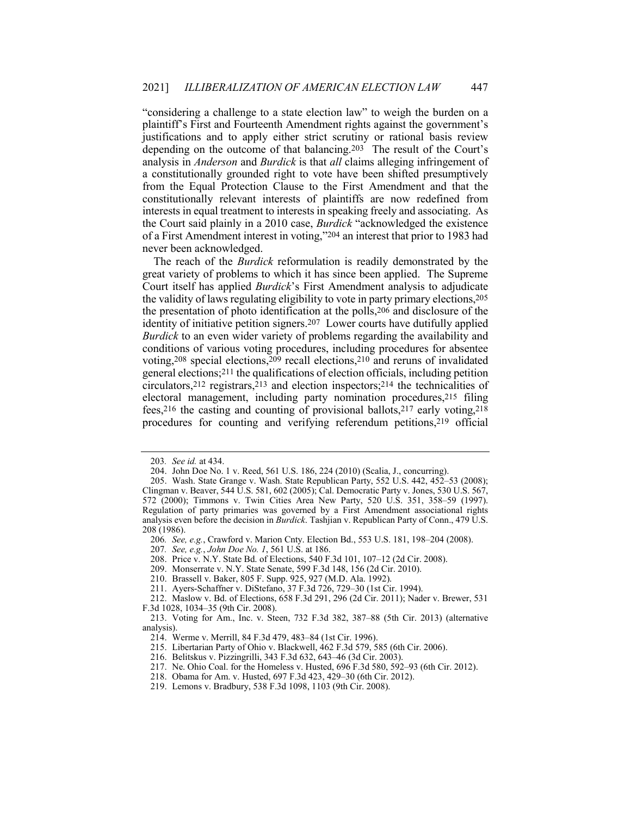"considering a challenge to a state election law" to weigh the burden on a justifications and to apply either strict scrutiny or rational basis review depending on the outcome of that balancing.203 The result of the Court's analysis in *Anderson* and *Burdick* is that *all* claims alleging infringement of from the Equal Protection Clause to the First Amendment and that the constitutionally relevant interests of plaintiffs are now redefined from interests in equal treatment to interests in speaking freely and associating. As the Court said plainly in a 2010 case, *Burdick* "acknowledged the existence of a First Amendment interest in voting,"204 an interest that prior to 1983 had plaintiff's First and Fourteenth Amendment rights against the government's a constitutionally grounded right to vote have been shifted presumptively never been acknowledged.

 The reach of the *Burdick* reformulation is readily demonstrated by the great variety of problems to which it has since been applied. The Supreme the validity of laws regulating eligibility to vote in party primary elections,205 identity of initiative petition signers.207 Lower courts have dutifully applied *Burdick* to an even wider variety of problems regarding the availability and conditions of various voting procedures, including procedures for absentee general elections;211 the qualifications of election officials, including petition circulators,212 registrars,213 and election inspectors;214 the technicalities of electoral management, including party nomination procedures,215 filing fees,216 the casting and counting of provisional ballots,217 early voting,218 procedures for counting and verifying referendum petitions,219 official Court itself has applied *Burdick*'s First Amendment analysis to adjudicate the presentation of photo identification at the polls,206 and disclosure of the voting,208 special elections,209 recall elections,210 and reruns of invalidated

- 208. Price v. N.Y. State Bd. of Elections, 540 F.3d 101, 107–12 (2d Cir. 2008).
- 209. Monserrate v. N.Y. State Senate, 599 F.3d 148, 156 (2d Cir. 2010).
- 210. Brassell v. Baker, 805 F. Supp. 925, 927 (M.D. Ala. 1992).
- 211. Ayers-Schaffner v. DiStefano, 37 F.3d 726, 729–30 (1st Cir. 1994).

<sup>203</sup>*. See id.* at 434.

<sup>204.</sup> John Doe No. 1 v. Reed, 561 U.S. 186, 224 (2010) (Scalia, J., concurring).

 Clingman v. Beaver, 544 U.S. 581, 602 (2005); Cal. Democratic Party v. Jones, 530 U.S. 567, 572 (2000); Timmons v. Twin Cities Area New Party, 520 U.S. 351, 358–59 (1997). Regulation of party primaries was governed by a First Amendment associational rights analysis even before the decision in *Burdick*. Tashjian v. Republican Party of Conn., 479 U.S. 205. Wash. State Grange v. Wash. State Republican Party, 552 U.S. 442, 452–53 (2008); 208 (1986).

<sup>206</sup>*. See, e.g.*, Crawford v. Marion Cnty. Election Bd., 553 U.S. 181, 198–204 (2008).

<sup>207</sup>*. See, e.g.*, *John Doe No. 1*, 561 U.S. at 186.

<sup>212.</sup> Maslow v. Bd. of Elections, 658 F.3d 291, 296 (2d Cir. 2011); Nader v. Brewer, 531 F.3d 1028, 1034–35 (9th Cir. 2008).

<sup>213.</sup> Voting for Am., Inc. v. Steen, 732 F.3d 382, 387–88 (5th Cir. 2013) (alternative analysis).

<sup>214.</sup> Werme v. Merrill, 84 F.3d 479, 483–84 (1st Cir. 1996).

<sup>215.</sup> Libertarian Party of Ohio v. Blackwell, 462 F.3d 579, 585 (6th Cir. 2006).

<sup>216.</sup> Belitskus v. Pizzingrilli, 343 F.3d 632, 643–46 (3d Cir. 2003).

<sup>217.</sup> Ne. Ohio Coal. for the Homeless v. Husted, 696 F.3d 580, 592–93 (6th Cir. 2012).

<sup>218.</sup> Obama for Am. v. Husted, 697 F.3d 423, 429–30 (6th Cir. 2012).

<sup>219.</sup> Lemons v. Bradbury, 538 F.3d 1098, 1103 (9th Cir. 2008).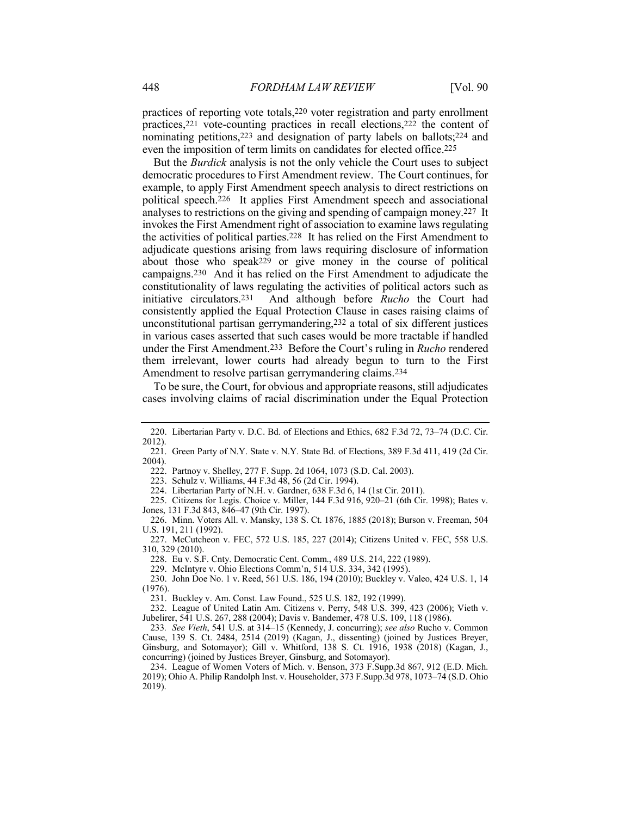practices of reporting vote totals,220 voter registration and party enrollment practices,221 vote-counting practices in recall elections,222 the content of nominating petitions,223 and designation of party labels on ballots;224 and even the imposition of term limits on candidates for elected office.225

 But the *Burdick* analysis is not the only vehicle the Court uses to subject democratic procedures to First Amendment review. The Court continues, for example, to apply First Amendment speech analysis to direct restrictions on political speech.226 It applies First Amendment speech and associational analyses to restrictions on the giving and spending of campaign money.227 It the activities of political parties.228 It has relied on the First Amendment to adjudicate questions arising from laws requiring disclosure of information campaigns.230 And it has relied on the First Amendment to adjudicate the initiative circulators.<sup>231</sup> unconstitutional partisan gerrymandering,232 a total of six different justices under the First Amendment.233 Before the Court's ruling in *Rucho* rendered invokes the First Amendment right of association to examine laws regulating about those who speak229 or give money in the course of political constitutionality of laws regulating the activities of political actors such as And although before *Rucho* the Court had consistently applied the Equal Protection Clause in cases raising claims of in various cases asserted that such cases would be more tractable if handled them irrelevant, lower courts had already begun to turn to the First Amendment to resolve partisan gerrymandering claims.234

 To be sure, the Court, for obvious and appropriate reasons, still adjudicates cases involving claims of racial discrimination under the Equal Protection

223. Schulz v. Williams, 44 F.3d 48, 56 (2d Cir. 1994).

228. Eu v. S.F. Cnty. Democratic Cent. Comm., 489 U.S. 214, 222 (1989).

229. McIntyre v. Ohio Elections Comm'n, 514 U.S. 334, 342 (1995).

<sup>220.</sup> Libertarian Party v. D.C. Bd. of Elections and Ethics, 682 F.3d 72, 73–74 (D.C. Cir. 2012).

<sup>221.</sup> Green Party of N.Y. State v. N.Y. State Bd. of Elections, 389 F.3d 411, 419 (2d Cir. 2004).

<sup>222.</sup> Partnoy v. Shelley, 277 F. Supp. 2d 1064, 1073 (S.D. Cal. 2003).

<sup>224.</sup> Libertarian Party of N.H. v. Gardner, 638 F.3d 6, 14 (1st Cir. 2011).

 Jones, 131 F.3d 843, 846–47 (9th Cir. 1997). 225. Citizens for Legis. Choice v. Miller, 144 F.3d 916, 920–21 (6th Cir. 1998); Bates v.

<sup>226.</sup> Minn. Voters All. v. Mansky, 138 S. Ct. 1876, 1885 (2018); Burson v. Freeman, 504 U.S. 191, 211 (1992).

<sup>227.</sup> McCutcheon v. FEC, 572 U.S. 185, 227 (2014); Citizens United v. FEC, 558 U.S. 310, 329 (2010).

<sup>230.</sup> John Doe No. 1 v. Reed, 561 U.S. 186, 194 (2010); Buckley v. Valeo, 424 U.S. 1, 14 (1976).

<sup>231.</sup> Buckley v. Am. Const. Law Found., 525 U.S. 182, 192 (1999).

<sup>232.</sup> League of United Latin Am. Citizens v. Perry, 548 U.S. 399, 423 (2006); Vieth v. Jubelirer, 541 U.S. 267, 288 (2004); Davis v. Bandemer, 478 U.S. 109, 118 (1986).

<sup>233</sup>*. See Vieth*, 541 U.S. at 314–15 (Kennedy, J. concurring); *see also* Rucho v. Common Cause, 139 S. Ct. 2484, 2514 (2019) (Kagan, J., dissenting) (joined by Justices Breyer, Ginsburg, and Sotomayor); Gill v. Whitford, 138 S. Ct. 1916, 1938 (2018) (Kagan, J., concurring) (joined by Justices Breyer, Ginsburg, and Sotomayor).

 2019); Ohio A. Philip Randolph Inst. v. Householder, 373 [F.Supp.3d](https://F.Supp.3d) 978, 1073–74 (S.D. Ohio 234. League of Women Voters of Mich. v. Benson, 373 [F.Supp.3d](https://F.Supp.3d) 867, 912 (E.D. Mich. 2019).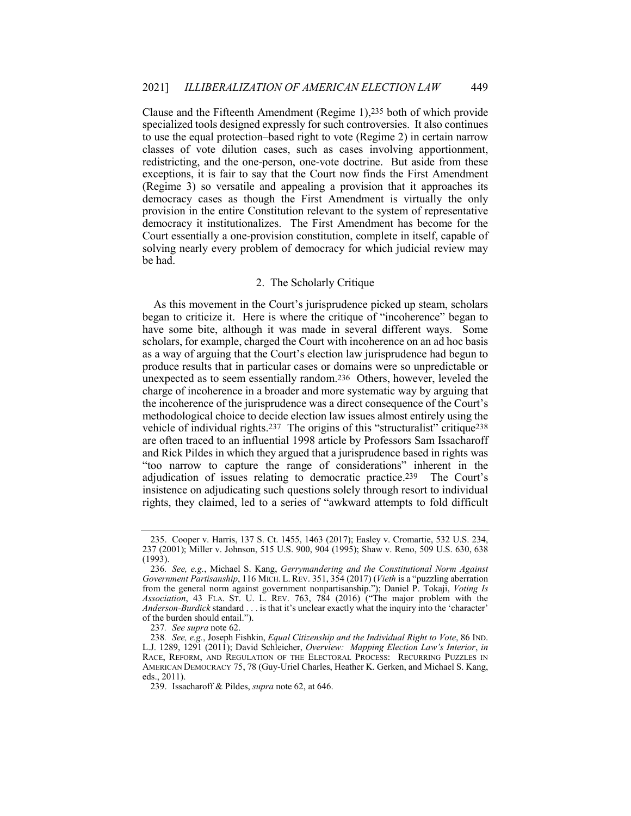<span id="page-27-0"></span> specialized tools designed expressly for such controversies. It also continues redistricting, and the one-person, one-vote doctrine. But aside from these exceptions, it is fair to say that the Court now finds the First Amendment democracy cases as though the First Amendment is virtually the only democracy it institutionalizes. The First Amendment has become for the Court essentially a one-provision constitution, complete in itself, capable of solving nearly every problem of democracy for which judicial review may Clause and the Fifteenth Amendment (Regime 1),235 both of which provide to use the equal protection–based right to vote (Regime 2) in certain narrow classes of vote dilution cases, such as cases involving apportionment, (Regime 3) so versatile and appealing a provision that it approaches its provision in the entire Constitution relevant to the system of representative be had.

## 2. The Scholarly Critique

 As this movement in the Court's jurisprudence picked up steam, scholars have some bite, although it was made in several different ways. Some scholars, for example, charged the Court with incoherence on an ad hoc basis unexpected as to seem essentially random.236 Others, however, leveled the methodological choice to decide election law issues almost entirely using the vehicle of individual rights.<sup>237</sup> The origins of this "structuralist" critique<sup>238</sup> are often traced to an influential 1998 article by Professors Sam Issacharoff and Rick Pildes in which they argued that a jurisprudence based in rights was adjudication of issues relating to democratic practice.<sup>239</sup> The Court's began to criticize it. Here is where the critique of "incoherence" began to as a way of arguing that the Court's election law jurisprudence had begun to produce results that in particular cases or domains were so unpredictable or charge of incoherence in a broader and more systematic way by arguing that the incoherence of the jurisprudence was a direct consequence of the Court's "too narrow to capture the range of considerations" inherent in the insistence on adjudicating such questions solely through resort to individual rights, they claimed, led to a series of "awkward attempts to fold difficult

 237 (2001); Miller v. Johnson, 515 U.S. 900, 904 (1995); Shaw v. Reno, 509 U.S. 630, 638 235. Cooper v. Harris, 137 S. Ct. 1455, 1463 (2017); Easley v. Cromartie, 532 U.S. 234, (1993).

 *Government Partisanship*, 116 MICH. L. REV. 351, 354 (2017) (*Vieth* is a "puzzling aberration *Anderson-Burdick* standard . . . is that it's unclear exactly what the inquiry into the 'character' 236*. See, e.g.*, Michael S. Kang, *Gerrymandering and the Constitutional Norm Against* from the general norm against government nonpartisanship."); Daniel P. Tokaji, *Voting Is Association*, 43 FLA. ST. U. L. REV. 763, 784 (2016) ("The major problem with the of the burden should entail.").

<sup>237</sup>*. See supra* note 62.

 L.J. 1289, 1291 (2011); David Schleicher, *Overview: Mapping Election Law's Interior*, *in* RACE, REFORM, AND REGULATION OF THE ELECTORAL PROCESS: RECURRING PUZZLES IN AMERICAN DEMOCRACY 75, 78 (Guy-Uriel Charles, Heather K. Gerken, and Michael S. Kang, 238*. See, e.g.*, Joseph Fishkin, *Equal Citizenship and the Individual Right to Vote*, 86 IND. eds., 2011).

<sup>239.</sup> Issacharoff & Pildes, *supra* note 62, at 646.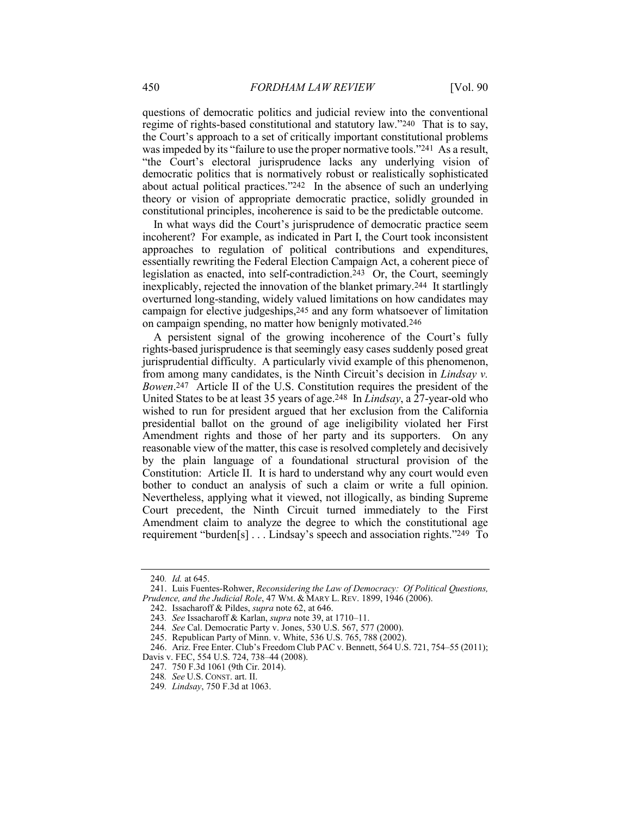regime of rights-based constitutional and statutory law."240 That is to say, was impeded by its "failure to use the proper normative tools."<sup>241</sup> As a result, "the Court's electoral jurisprudence lacks any underlying vision of about actual political practices."242 In the absence of such an underlying theory or vision of appropriate democratic practice, solidly grounded in questions of democratic politics and judicial review into the conventional the Court's approach to a set of critically important constitutional problems democratic politics that is normatively robust or realistically sophisticated constitutional principles, incoherence is said to be the predictable outcome.

 incoherent? For example, as indicated in Part I, the Court took inconsistent essentially rewriting the Federal Election Campaign Act, a coherent piece of legislation as enacted, into self-contradiction.243 Or, the Court, seemingly inexplicably, rejected the innovation of the blanket primary.244 It startlingly campaign for elective judgeships,245 and any form whatsoever of limitation In what ways did the Court's jurisprudence of democratic practice seem approaches to regulation of political contributions and expenditures, overturned long-standing, widely valued limitations on how candidates may on campaign spending, no matter how benignly motivated.246

 A persistent signal of the growing incoherence of the Court's fully rights-based jurisprudence is that seemingly easy cases suddenly posed great from among many candidates, is the Ninth Circuit's decision in *Lindsay v. Bowen*.247 Article II of the U.S. Constitution requires the president of the United States to be at least 35 years of age.248 In *Lindsay*, a 27-year-old who wished to run for president argued that her exclusion from the California presidential ballot on the ground of age ineligibility violated her First Amendment rights and those of her party and its supporters. On any Constitution: Article II. It is hard to understand why any court would even bother to conduct an analysis of such a claim or write a full opinion. Nevertheless, applying what it viewed, not illogically, as binding Supreme Court precedent, the Ninth Circuit turned immediately to the First requirement "burden[s] . . . Lindsay's speech and association rights."249 To jurisprudential difficulty. A particularly vivid example of this phenomenon, reasonable view of the matter, this case is resolved completely and decisively by the plain language of a foundational structural provision of the Amendment claim to analyze the degree to which the constitutional age

<sup>240</sup>*. Id.* at 645.

 *Prudence, and the Judicial Role*, 47 WM. & MARY L. REV. 1899, 1946 (2006). 241. Luis Fuentes-Rohwer, *Reconsidering the Law of Democracy: Of Political Questions,*

<sup>242.</sup> Issacharoff & Pildes, *supra* note 62, at 646.

<sup>243</sup>*. See* Issacharoff & Karlan, *supra* note 39, at 1710–11.

<sup>244</sup>*. See* Cal. Democratic Party v. Jones, 530 U.S. 567, 577 (2000).

<sup>245.</sup> Republican Party of Minn. v. White, 536 U.S. 765, 788 (2002).

 Davis v. FEC, 554 U.S. 724, 738–44 (2008). 246. Ariz. Free Enter. Club's Freedom Club PAC v. Bennett, 564 U.S. 721, 754–55 (2011);

<sup>247.</sup> 750 F.3d 1061 (9th Cir. 2014).

<sup>248</sup>*. See* U.S. CONST. art. II.

<sup>249</sup>*. Lindsay*, 750 F.3d at 1063.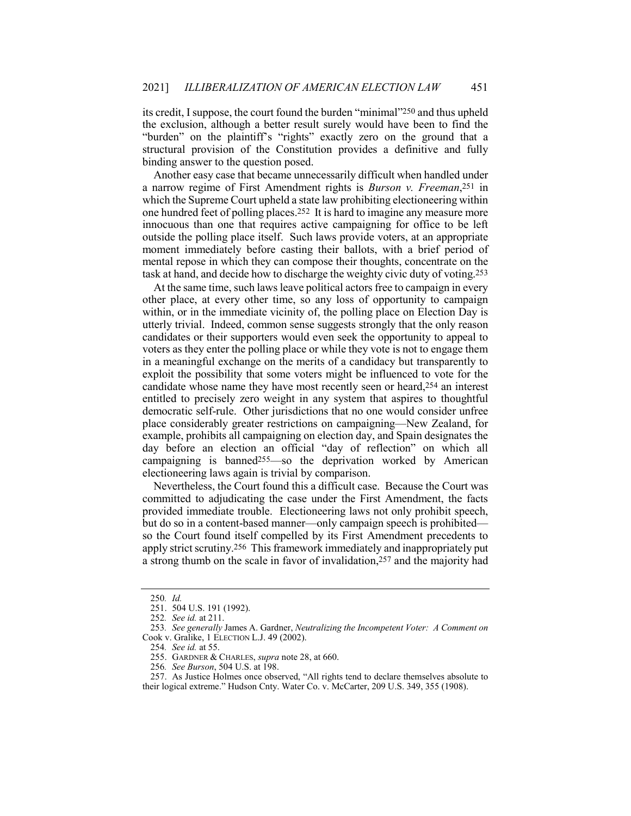its credit, Isuppose, the court found the burden "minimal"250 and thus upheld the exclusion, although a better result surely would have been to find the "burden" on the plaintiff's "rights" exactly zero on the ground that a structural provision of the Constitution provides a definitive and fully binding answer to the question posed.

 a narrow regime of First Amendment rights is *Burson v. Freeman*,251 in which the Supreme Court upheld a state law prohibiting electioneering within one hundred feet of polling places.252 It is hard to imagine any measure more innocuous than one that requires active campaigning for office to be left outside the polling place itself. Such laws provide voters, at an appropriate moment immediately before casting their ballots, with a brief period of task at hand, and decide how to discharge the weighty civic duty of voting.253 Another easy case that became unnecessarily difficult when handled under mental repose in which they can compose their thoughts, concentrate on the

 other place, at every other time, so any loss of opportunity to campaign within, or in the immediate vicinity of, the polling place on Election Day is utterly trivial. Indeed, common sense suggests strongly that the only reason candidates or their supporters would even seek the opportunity to appeal to voters as they enter the polling place or while they vote is not to engage them in a meaningful exchange on the merits of a candidacy but transparently to candidate whose name they have most recently seen or heard,254 an interest entitled to precisely zero weight in any system that aspires to thoughtful democratic self-rule. Other jurisdictions that no one would consider unfree campaigning is banned255—so the deprivation worked by American At the same time, such laws leave political actors free to campaign in every exploit the possibility that some voters might be influenced to vote for the place considerably greater restrictions on campaigning—New Zealand, for example, prohibits all campaigning on election day, and Spain designates the day before an election an official "day of reflection" on which all electioneering laws again is trivial by comparison.

 Nevertheless, the Court found this a difficult case. Because the Court was provided immediate trouble. Electioneering laws not only prohibit speech, so the Court found itself compelled by its First Amendment precedents to apply strict scrutiny.<sup>256</sup> This framework immediately and inappropriately put a strong thumb on the scale in favor of invalidation,257 and the majority had committed to adjudicating the case under the First Amendment, the facts but do so in a content-based manner—only campaign speech is prohibited—

<sup>250</sup>*. Id.*

<sup>251.</sup> 504 U.S. 191 (1992).

<sup>252</sup>*. See id.* at 211.

 Cook v. Gralike, 1 ELECTION L.J. 49 (2002). 253*. See generally* James A. Gardner, *Neutralizing the Incompetent Voter: A Comment on* 

<sup>254</sup>*. See id.* at 55.

<sup>255.</sup> GARDNER & CHARLES, *supra* note 28, at 660.

<sup>256</sup>*. See Burson*, 504 U.S. at 198.

<sup>257.</sup> As Justice Holmes once observed, "All rights tend to declare themselves absolute to their logical extreme." Hudson Cnty. Water Co. v. McCarter, 209 U.S. 349, 355 (1908).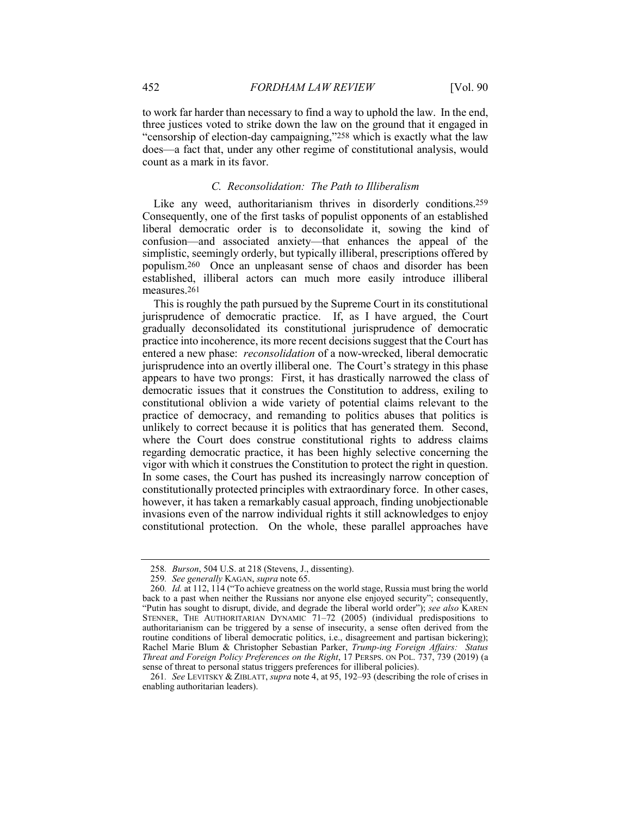<span id="page-30-0"></span> to work far harder than necessary to find a way to uphold the law. In the end, three justices voted to strike down the law on the ground that it engaged in "censorship of election-day campaigning,"258 which is exactly what the law does—a fact that, under any other regime of constitutional analysis, would count as a mark in its favor.

## *C. Reconsolidation: The Path to Illiberalism*

 Like any weed, authoritarianism thrives in disorderly conditions.259 liberal democratic order is to deconsolidate it, sowing the kind of confusion—and associated anxiety—that enhances the appeal of the populism.260 Once an unpleasant sense of chaos and disorder has been Consequently, one of the first tasks of populist opponents of an established simplistic, seemingly orderly, but typically illiberal, prescriptions offered by established, illiberal actors can much more easily introduce illiberal measures.261

 jurisprudence of democratic practice. If, as I have argued, the Court practice into incoherence, its more recent decisions suggest that the Court has entered a new phase: *reconsolidation* of a now-wrecked, liberal democratic jurisprudence into an overtly illiberal one. The Court's strategy in this phase appears to have two prongs: First, it has drastically narrowed the class of democratic issues that it construes the Constitution to address, exiling to practice of democracy, and remanding to politics abuses that politics is unlikely to correct because it is politics that has generated them. Second, regarding democratic practice, it has been highly selective concerning the vigor with which it construes the Constitution to protect the right in question. In some cases, the Court has pushed its increasingly narrow conception of constitutionally protected principles with extraordinary force. In other cases, invasions even of the narrow individual rights it still acknowledges to enjoy constitutional protection. On the whole, these parallel approaches have This is roughly the path pursued by the Supreme Court in its constitutional gradually deconsolidated its constitutional jurisprudence of democratic constitutional oblivion a wide variety of potential claims relevant to the where the Court does construe constitutional rights to address claims however, it has taken a remarkably casual approach, finding unobjectionable

<sup>258</sup>*. Burson*, 504 U.S. at 218 (Stevens, J., dissenting).

<sup>259</sup>*. See generally* KAGAN, *supra* note 65.

 STENNER, THE AUTHORITARIAN DYNAMIC 71–72 (2005) (individual predispositions to authoritarianism can be triggered by a sense of insecurity, a sense often derived from the Rachel Marie Blum & Christopher Sebastian Parker, *Trump-ing Foreign Affairs: Status Threat and Foreign Policy Preferences on the Right*, 17 PERSPS. ON POL. 737, 739 (2019) (a 260*. Id.* at 112, 114 ("To achieve greatness on the world stage, Russia must bring the world back to a past when neither the Russians nor anyone else enjoyed security"; consequently, "Putin has sought to disrupt, divide, and degrade the liberal world order"); *see also* KAREN routine conditions of liberal democratic politics, i.e., disagreement and partisan bickering); sense of threat to personal status triggers preferences for illiberal policies).

<sup>261</sup>*. See* LEVITSKY & ZIBLATT, *supra* note 4, at 95, 192–93 (describing the role of crises in enabling authoritarian leaders).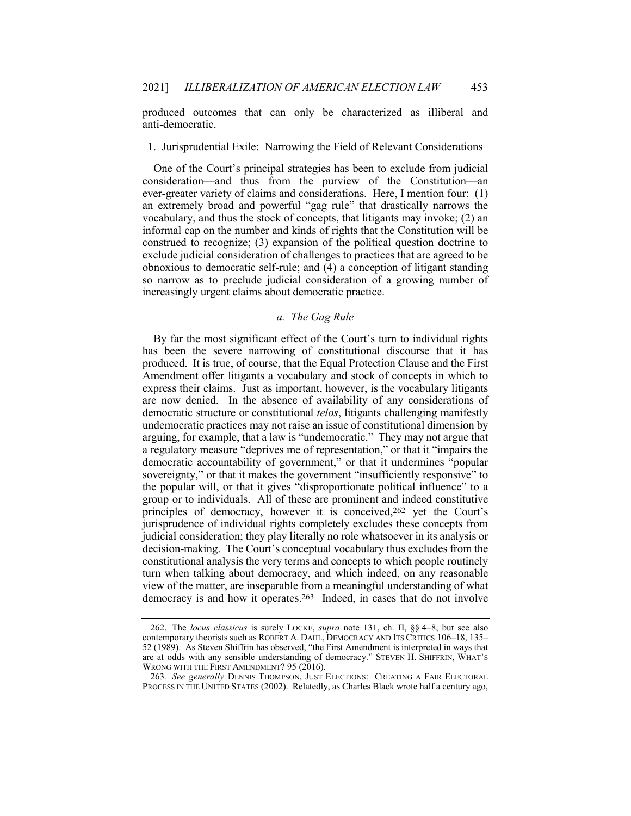<span id="page-31-0"></span> produced outcomes that can only be characterized as illiberal and anti-democratic.

## 1. Jurisprudential Exile: Narrowing the Field of Relevant Considerations

 One of the Court's principal strategies has been to exclude from judicial consideration—and thus from the purview of the Constitution—an ever-greater variety of claims and considerations. Here, I mention four: (1) an extremely broad and powerful "gag rule" that drastically narrows the vocabulary, and thus the stock of concepts, that litigants may invoke; (2) an informal cap on the number and kinds of rights that the Constitution will be obnoxious to democratic self-rule; and (4) a conception of litigant standing so narrow as to preclude judicial consideration of a growing number of construed to recognize; (3) expansion of the political question doctrine to exclude judicial consideration of challenges to practices that are agreed to be increasingly urgent claims about democratic practice.

## *a. The Gag Rule*

 By far the most significant effect of the Court's turn to individual rights has been the severe narrowing of constitutional discourse that it has Amendment offer litigants a vocabulary and stock of concepts in which to express their claims. Just as important, however, is the vocabulary litigants are now denied. In the absence of availability of any considerations of democratic structure or constitutional *telos*, litigants challenging manifestly undemocratic practices may not raise an issue of constitutional dimension by arguing, for example, that a law is "undemocratic." They may not argue that a regulatory measure "deprives me of representation," or that it "impairs the group or to individuals. All of these are prominent and indeed constitutive principles of democracy, however it is conceived,262 yet the Court's jurisprudence of individual rights completely excludes these concepts from judicial consideration; they play literally no role whatsoever in its analysis or decision-making. The Court's conceptual vocabulary thus excludes from the turn when talking about democracy, and which indeed, on any reasonable view of the matter, are inseparable from a meaningful understanding of what democracy is and how it operates.263 Indeed, in cases that do not involve produced. It is true, of course, that the Equal Protection Clause and the First democratic accountability of government," or that it undermines "popular sovereignty," or that it makes the government "insufficiently responsive" to the popular will, or that it gives "disproportionate political influence" to a constitutional analysis the very terms and concepts to which people routinely

 contemporary theorists such as ROBERT A. DAHL, DEMOCRACY AND ITS CRITICS 106–18, 135– 52 (1989). As Steven Shiffrin has observed, "the First Amendment is interpreted in ways that are at odds with any sensible understanding of democracy." STEVEN H. SHIFFRIN, WHAT'S WRONG WITH THE FIRST AMENDMENT? 95 (2016). 262. The *locus classicus* is surely LOCKE, *supra* note 131, ch. II, §§ 4–8, but see also

 PROCESS IN THE UNITED STATES (2002). Relatedly, as Charles Black wrote half a century ago,263*. See generally* DENNIS THOMPSON, JUST ELECTIONS: CREATING A FAIR ELECTORAL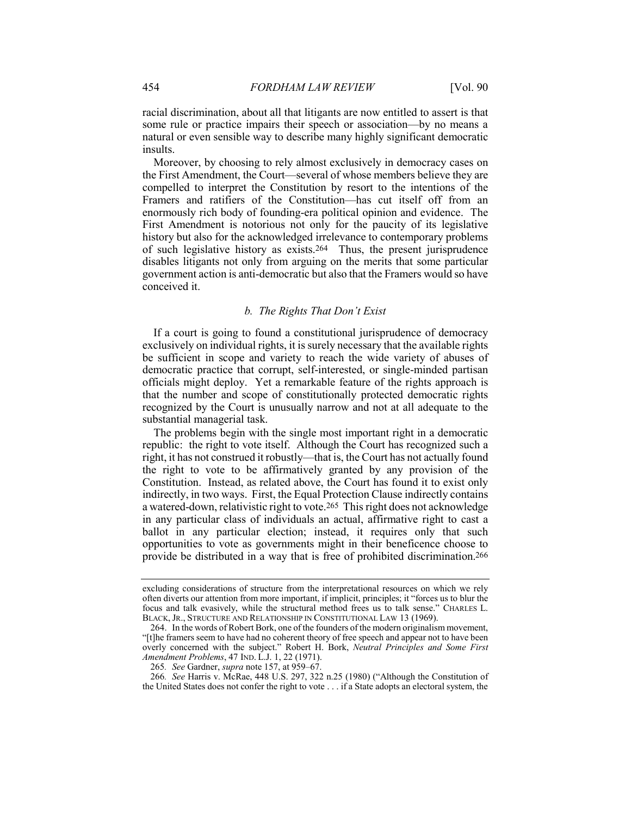<span id="page-32-0"></span> racial discrimination, about all that litigants are now entitled to assert is that some rule or practice impairs their speech or association—by no means a natural or even sensible way to describe many highly significant democratic insults.

 Moreover, by choosing to rely almost exclusively in democracy cases on the First Amendment, the Court—several of whose members believe they are compelled to interpret the Constitution by resort to the intentions of the Framers and ratifiers of the Constitution—has cut itself off from an enormously rich body of founding-era political opinion and evidence. The First Amendment is notorious not only for the paucity of its legislative of such legislative history as exists.264 Thus, the present jurisprudence disables litigants not only from arguing on the merits that some particular history but also for the acknowledged irrelevance to contemporary problems government action is anti-democratic but also that the Framers would so have conceived it.

## *b. The Rights That Don't Exist*

 exclusively on individual rights, it is surely necessary that the available rights be sufficient in scope and variety to reach the wide variety of abuses of recognized by the Court is unusually narrow and not at all adequate to the If a court is going to found a constitutional jurisprudence of democracy democratic practice that corrupt, self-interested, or single-minded partisan officials might deploy. Yet a remarkable feature of the rights approach is that the number and scope of constitutionally protected democratic rights substantial managerial task.

 right, it has not construed it robustly—that is, the Court has not actually found the right to vote to be affirmatively granted by any provision of the indirectly, in two ways. First, the Equal Protection Clause indirectly contains a watered-down, relativistic right to vote.265 This right does not acknowledge ballot in any particular election; instead, it requires only that such opportunities to vote as governments might in their beneficence choose to provide be distributed in a way that is free of prohibited discrimination.266 The problems begin with the single most important right in a democratic republic: the right to vote itself. Although the Court has recognized such a Constitution. Instead, as related above, the Court has found it to exist only in any particular class of individuals an actual, affirmative right to cast a

 focus and talk evasively, while the structural method frees us to talk sense." CHARLES L. BLACK, JR., STRUCTURE AND RELATIONSHIP IN CONSTITUTIONAL LAW 13 (1969). excluding considerations of structure from the interpretational resources on which we rely often diverts our attention from more important, if implicit, principles; it "forces us to blur the

 "[t]he framers seem to have had no coherent theory of free speech and appear not to have been 264. In the words of Robert Bork, one of the founders of the modern originalism movement, overly concerned with the subject." Robert H. Bork, *Neutral Principles and Some First Amendment Problems*, 47 IND. L.J. 1, 22 (1971).

<sup>265</sup>*. See* Gardner, *supra* note 157, at 959–67.

 the United States does not confer the right to vote . . . if a State adopts an electoral system, the266*. See* Harris v. McRae, 448 U.S. 297, 322 n.25 (1980) ("Although the Constitution of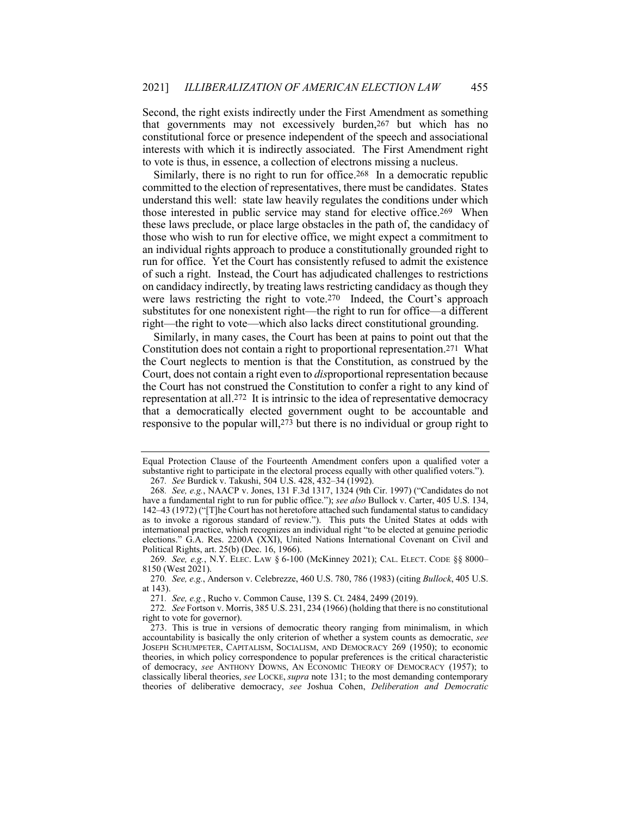Second, the right exists indirectly under the First Amendment as something that governments may not excessively burden,267 but which has no constitutional force or presence independent of the speech and associational interests with which it is indirectly associated. The First Amendment right to vote is thus, in essence, a collection of electrons missing a nucleus.

Similarly, there is no right to run for office.<sup>268</sup> In a democratic republic committed to the election of representatives, there must be candidates. States those interested in public service may stand for elective office.269 When these laws preclude, or place large obstacles in the path of, the candidacy of of such a right. Instead, the Court has adjudicated challenges to restrictions on candidacy indirectly, by treating laws restricting candidacy as though they were laws restricting the right to vote.270 Indeed, the Court's approach substitutes for one nonexistent right—the right to run for office—a different understand this well: state law heavily regulates the conditions under which those who wish to run for elective office, we might expect a commitment to an individual rights approach to produce a constitutionally grounded right to run for office. Yet the Court has consistently refused to admit the existence right—the right to vote—which also lacks direct constitutional grounding.

 Similarly, in many cases, the Court has been at pains to point out that the Constitution does not contain a right to proportional representation.271 What the Court neglects to mention is that the Constitution, as construed by the representation at all.272 It is intrinsic to the idea of representative democracy Court, does not contain a right even to *dis*proportional representation because the Court has not construed the Constitution to confer a right to any kind of that a democratically elected government ought to be accountable and responsive to the popular will,<sup>273</sup> but there is no individual or group right to

 Equal Protection Clause of the Fourteenth Amendment confers upon a qualified voter a substantive right to participate in the electoral process equally with other qualified voters."). 267*. See* Burdick v. Takushi, 504 U.S. 428, 432–34 (1992).

 142–43 (1972) ("[T]he Court has not heretofore attached such fundamental status to candidacy as to invoke a rigorous standard of review."). This puts the United States at odds with 268*. See, e.g.*, NAACP v. Jones, 131 F.3d 1317, 1324 (9th Cir. 1997) ("Candidates do not have a fundamental right to run for public office."); *see also* Bullock v. Carter, 405 U.S. 134, international practice, which recognizes an individual right "to be elected at genuine periodic elections." G.A. Res. 2200A (XXI), United Nations International Covenant on Civil and Political Rights, art. 25(b) (Dec. 16, 1966).

<sup>269</sup>*. See, e.g.*, N.Y. ELEC. LAW § 6-100 (McKinney 2021); CAL. ELECT. CODE §§ 8000– 8150 (West 2021).

<sup>270</sup>*. See, e.g.*, Anderson v. Celebrezze, 460 U.S. 780, 786 (1983) (citing *Bullock*, 405 U.S. at 143).

<sup>271</sup>*. See, e.g.*, Rucho v. Common Cause, 139 S. Ct. 2484, 2499 (2019).

<sup>272</sup>*. See* Fortson v. Morris, 385 U.S. 231, 234 (1966) (holding that there is no constitutional right to vote for governor).

 accountability is basically the only criterion of whether a system counts as democratic, *see* JOSEPH SCHUMPETER, CAPITALISM, SOCIALISM, AND DEMOCRACY 269 (1950); to economic of democracy, *see* ANTHONY DOWNS, AN ECONOMIC THEORY OF DEMOCRACY (1957); to theories of deliberative democracy, *see* Joshua Cohen, *Deliberation and Democratic*273. This is true in versions of democratic theory ranging from minimalism, in which theories, in which policy correspondence to popular preferences is the critical characteristic classically liberal theories, *see* LOCKE, *supra* note 131; to the most demanding contemporary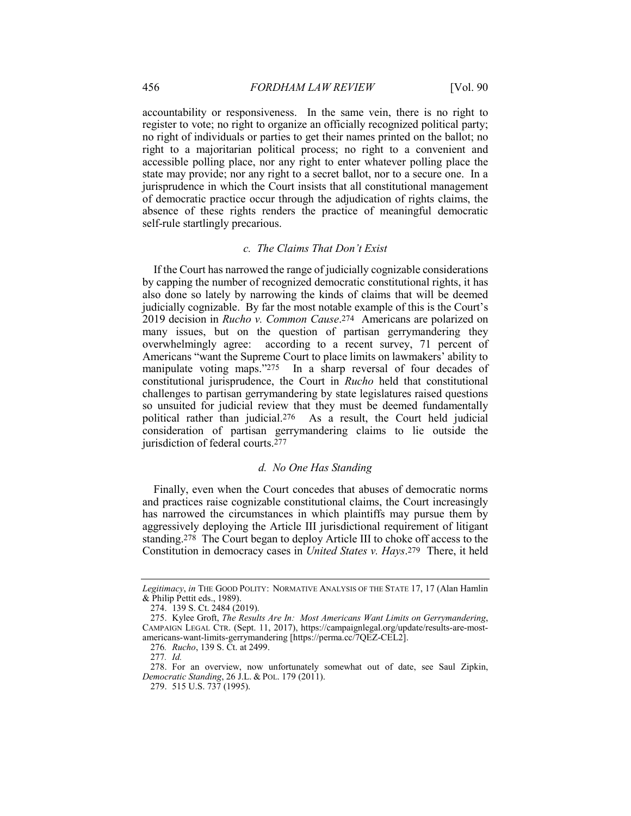<span id="page-34-0"></span> accessible polling place, nor any right to enter whatever polling place the state may provide; nor any right to a secret ballot, nor to a secure one. In a accountability or responsiveness. In the same vein, there is no right to register to vote; no right to organize an officially recognized political party; no right of individuals or parties to get their names printed on the ballot; no right to a majoritarian political process; no right to a convenient and jurisprudence in which the Court insists that all constitutional management of democratic practice occur through the adjudication of rights claims, the absence of these rights renders the practice of meaningful democratic self-rule startlingly precarious.

## *c. The Claims That Don't Exist*

 also done so lately by narrowing the kinds of claims that will be deemed  2019 decision in *Rucho v. Common Cause*.274 Americans are polarized on many issues, but on the question of partisan gerrymandering they overwhelmingly agree: according to a recent survey, 71 percent of Americans "want the Supreme Court to place limits on lawmakers' ability to manipulate voting maps."275 In a sharp reversal of four decades of constitutional jurisprudence, the Court in *Rucho* held that constitutional challenges to partisan gerrymandering by state legislatures raised questions political rather than judicial.276 As a result, the Court held judicial If the Court has narrowed the range of judicially cognizable considerations by capping the number of recognized democratic constitutional rights, it has judicially cognizable. By far the most notable example of this is the Court's so unsuited for judicial review that they must be deemed fundamentally consideration of partisan gerrymandering claims to lie outside the jurisdiction of federal courts.277

## *d. No One Has Standing*

 aggressively deploying the Article III jurisdictional requirement of litigant standing.278 The Court began to deploy Article III to choke off access to the Constitution in democracy cases in *United States v. Hays*.279 There, it held Finally, even when the Court concedes that abuses of democratic norms and practices raise cognizable constitutional claims, the Court increasingly has narrowed the circumstances in which plaintiffs may pursue them by

 *Legitimacy*, *in* THE GOOD POLITY: NORMATIVE ANALYSIS OF THE STATE 17, 17 (Alan Hamlin & Philip Pettit eds., 1989).

<sup>274.</sup> 139 S. Ct. 2484 (2019).

 CAMPAIGN LEGAL CTR. (Sept. 11, 2017), [https://campaignlegal.org/update/results-are-most-](https://campaignlegal.org/update/results-are-most)275. Kylee Groft, *The Results Are In: Most Americans Want Limits on Gerrymandering*, americans-want-limits-gerrymandering [<https://perma.cc/7QEZ-CEL2>].

<sup>276</sup>*. Rucho*, 139 S. Ct. at 2499.

<sup>277</sup>*. Id.*

 *Democratic Standing*, 26 J.L. & POL. 179 (2011). 278. For an overview, now unfortunately somewhat out of date, see Saul Zipkin,

<sup>279.</sup> 515 U.S. 737 (1995).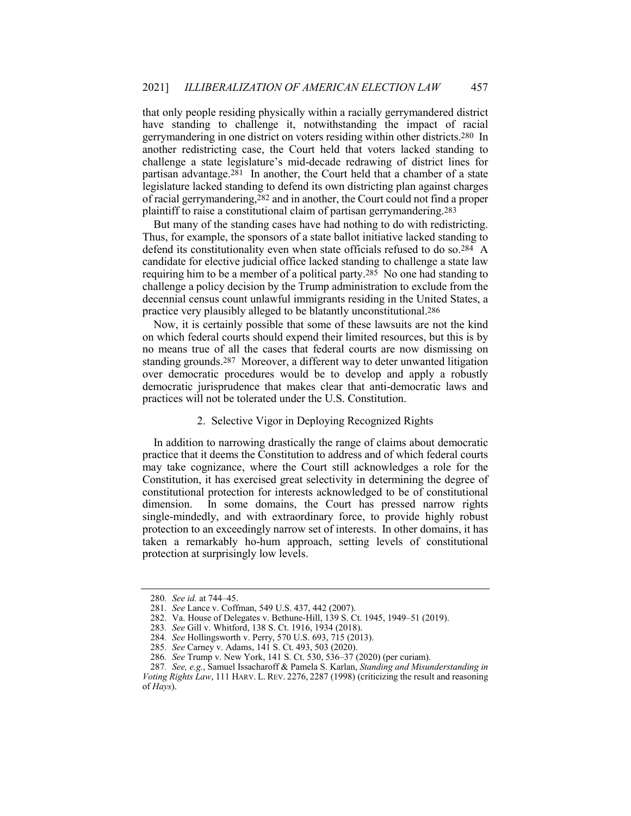<span id="page-35-0"></span> that only people residing physically within a racially gerrymandered district gerrymandering in one district on voters residing within other districts.280 In another redistricting case, the Court held that voters lacked standing to partisan advantage.281 In another, the Court held that a chamber of a state of racial gerrymandering,282 and in another, the Court could not find a proper have standing to challenge it, notwithstanding the impact of racial challenge a state legislature's mid-decade redrawing of district lines for legislature lacked standing to defend its own districting plan against charges plaintiff to raise a constitutional claim of partisan gerrymandering.283

 defend its constitutionality even when state officials refused to do so.284 A requiring him to be a member of a political party.285 No one had standing to challenge a policy decision by the Trump administration to exclude from the But many of the standing cases have had nothing to do with redistricting. Thus, for example, the sponsors of a state ballot initiative lacked standing to candidate for elective judicial office lacked standing to challenge a state law decennial census count unlawful immigrants residing in the United States, a practice very plausibly alleged to be blatantly unconstitutional.286

 Now, it is certainly possible that some of these lawsuits are not the kind on which federal courts should expend their limited resources, but this is by no means true of all the cases that federal courts are now dismissing on standing grounds.287 Moreover, a different way to deter unwanted litigation over democratic procedures would be to develop and apply a robustly democratic jurisprudence that makes clear that anti-democratic laws and practices will not be tolerated under the U.S. Constitution.

## 2. Selective Vigor in Deploying Recognized Rights

 In addition to narrowing drastically the range of claims about democratic practice that it deems the Constitution to address and of which federal courts may take cognizance, where the Court still acknowledges a role for the Constitution, it has exercised great selectivity in determining the degree of single-mindedly, and with extraordinary force, to provide highly robust protection to an exceedingly narrow set of interests. In other domains, it has taken a remarkably ho-hum approach, setting levels of constitutional constitutional protection for interests acknowledged to be of constitutional dimension. In some domains, the Court has pressed narrow rights protection at surprisingly low levels.

<sup>280</sup>*. See id.* at 744–45.

<sup>281</sup>*. See* Lance v. Coffman, 549 U.S. 437, 442 (2007).

<sup>282.</sup> Va. House of Delegates v. Bethune-Hill, 139 S. Ct. 1945, 1949–51 (2019).

<sup>283</sup>*. See* Gill v. Whitford, 138 S. Ct. 1916, 1934 (2018).

<sup>284</sup>*. See* Hollingsworth v. Perry, 570 U.S. 693, 715 (2013).

<sup>285</sup>*. See* Carney v. Adams, 141 S. Ct. 493, 503 (2020).

<sup>286</sup>*. See* Trump v. New York, 141 S. Ct. 530, 536–37 (2020) (per curiam).

 *Voting Rights Law*, 111 HARV. L. REV. 2276, 2287 (1998) (criticizing the result and reasoning of *Hays*).287*. See, e.g.*, Samuel Issacharoff & Pamela S. Karlan, *Standing and Misunderstanding in*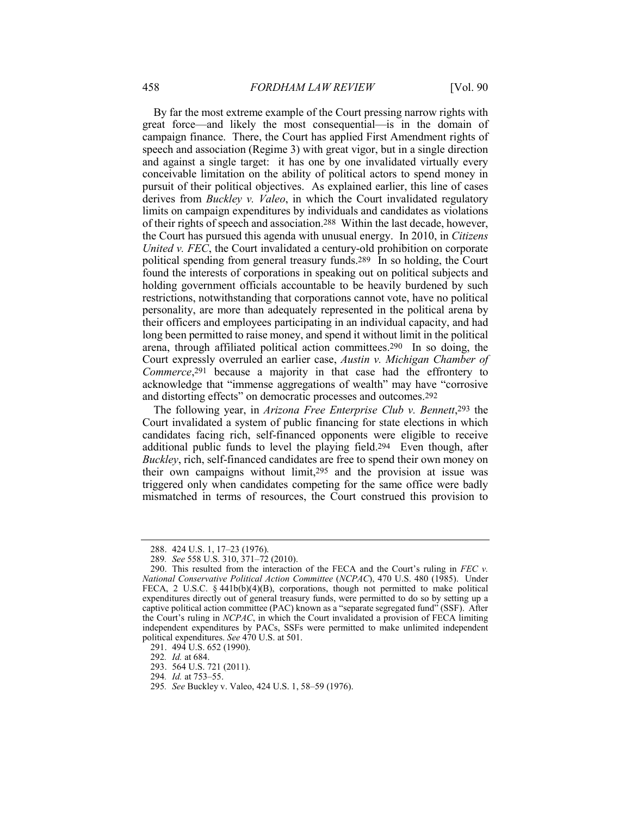By far the most extreme example of the Court pressing narrow rights with and against a single target: it has one by one invalidated virtually every pursuit of their political objectives. As explained earlier, this line of cases limits on campaign expenditures by individuals and candidates as violations of their rights of speech and association.288 Within the last decade, however, the Court has pursued this agenda with unusual energy. In 2010, in *Citizens* political spending from general treasury funds.289 In so holding, the Court found the interests of corporations in speaking out on political subjects and holding government officials accountable to be heavily burdened by such restrictions, notwithstanding that corporations cannot vote, have no political personality, are more than adequately represented in the political arena by long been permitted to raise money, and spend it without limit in the political arena, through affiliated political action committees.290 In so doing, the Court expressly overruled an earlier case, *Austin v. Michigan Chamber of Commerce*,291 because a majority in that case had the effrontery to acknowledge that "immense aggregations of wealth" may have "corrosive and distorting effects" on democratic processes and outcomes.292 great force—and likely the most consequential—is in the domain of campaign finance. There, the Court has applied First Amendment rights of speech and association (Regime 3) with great vigor, but in a single direction conceivable limitation on the ability of political actors to spend money in derives from *Buckley v. Valeo*, in which the Court invalidated regulatory *United v. FEC*, the Court invalidated a century-old prohibition on corporate their officers and employees participating in an individual capacity, and had

 The following year, in *Arizona Free Enterprise Club v. Bennett*,293 the Court invalidated a system of public financing for state elections in which additional public funds to level the playing field.294 Even though, after triggered only when candidates competing for the same office were badly mismatched in terms of resources, the Court construed this provision to candidates facing rich, self-financed opponents were eligible to receive *Buckley*, rich, self-financed candidates are free to spend their own money on their own campaigns without limit,295 and the provision at issue was

<sup>288.</sup> 424 U.S. 1, 17–23 (1976).

<sup>289</sup>*. See* 558 U.S. 310, 371–72 (2010).

 *National Conservative Political Action Committee* (*NCPAC*), 470 U.S. 480 (1985). Under FECA, 2 U.S.C. § 441b(b)(4)(B), corporations, though not permitted to make political expenditures directly out of general treasury funds, were permitted to do so by setting up a captive political action committee (PAC) known as a "separate segregated fund" (SSF). After the Court's ruling in *NCPAC*, in which the Court invalidated a provision of FECA limiting independent expenditures by PACs, SSFs were permitted to make unlimited independent 290. This resulted from the interaction of the FECA and the Court's ruling in *FEC v.* political expenditures. *See* 470 U.S. at 501.

<sup>291.</sup> 494 U.S. 652 (1990).

<sup>292</sup>*. Id.* at 684.

<sup>293.</sup> 564 U.S. 721 (2011).

<sup>294</sup>*. Id.* at 753–55.

<sup>295</sup>*. See* Buckley v. Valeo, 424 U.S. 1, 58–59 (1976).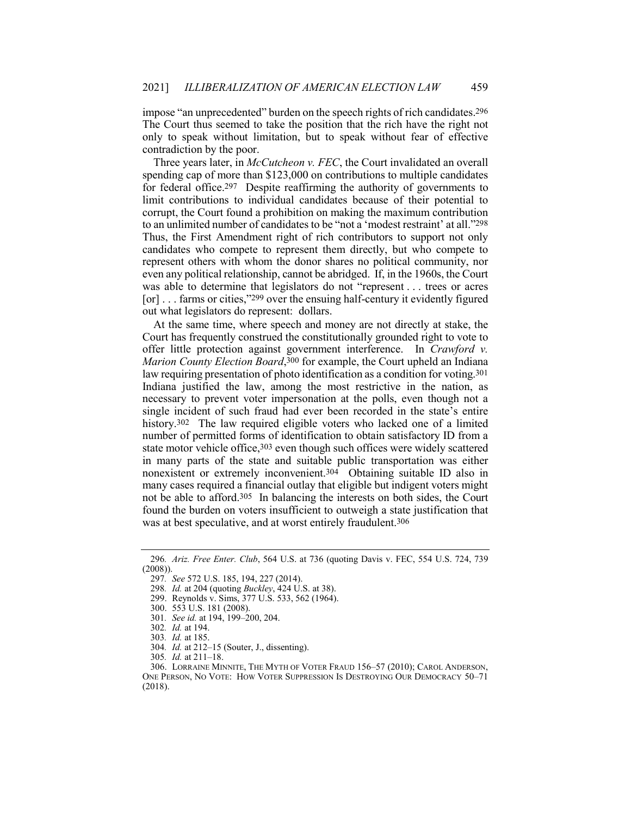impose "an unprecedented" burden on the speech rights of rich candidates.296 The Court thus seemed to take the position that the rich have the right not only to speak without limitation, but to speak without fear of effective contradiction by the poor.

 for federal office.297 Despite reaffirming the authority of governments to limit contributions to individual candidates because of their potential to to an unlimited number of candidates to be "not a 'modest restraint' at all."298 even any political relationship, cannot be abridged. If, in the 1960s, the Court was able to determine that legislators do not "represent . . . trees or acres [or] . . . farms or cities,"299 over the ensuing half-century it evidently figured Three years later, in *McCutcheon v. FEC*, the Court invalidated an overall spending cap of more than \$123,000 on contributions to multiple candidates corrupt, the Court found a prohibition on making the maximum contribution Thus, the First Amendment right of rich contributors to support not only candidates who compete to represent them directly, but who compete to represent others with whom the donor shares no political community, nor out what legislators do represent: dollars.

 At the same time, where speech and money are not directly at stake, the Indiana justified the law, among the most restrictive in the nation, as history.<sup>302</sup> The law required eligible voters who lacked one of a limited number of permitted forms of identification to obtain satisfactory ID from a state motor vehicle office, 303 even though such offices were widely scattered in many parts of the state and suitable public transportation was either nonexistent or extremely inconvenient.304 Obtaining suitable ID also in many cases required a financial outlay that eligible but indigent voters might not be able to afford.305 In balancing the interests on both sides, the Court Court has frequently construed the constitutionally grounded right to vote to offer little protection against government interference. In *Crawford v. Marion County Election Board*,300 for example, the Court upheld an Indiana law requiring presentation of photo identification as a condition for voting.<sup>301</sup> necessary to prevent voter impersonation at the polls, even though not a single incident of such fraud had ever been recorded in the state's entire found the burden on voters insufficient to outweigh a state justification that was at best speculative, and at worst entirely fraudulent.306

<sup>296</sup>*. Ariz. Free Enter. Club*, 564 U.S. at 736 (quoting Davis v. FEC, 554 U.S. 724, 739 (2008)).

<sup>297</sup>*. See* 572 U.S. 185, 194, 227 (2014).

<sup>298</sup>*. Id.* at 204 (quoting *Buckley*, 424 U.S. at 38).

<sup>299.</sup> Reynolds v. Sims, 377 U.S. 533, 562 (1964).

<sup>300.</sup> 553 U.S. 181 (2008).

<sup>301</sup>*. See id.* at 194, 199–200, 204.

<sup>302</sup>*. Id.* at 194.

<sup>303</sup>*. Id.* at 185.

<sup>304</sup>*. Id.* at 212–15 (Souter, J., dissenting).

<sup>305</sup>*. Id.* at 211–18.

 ONE PERSON, NO VOTE: HOW VOTER SUPPRESSION IS DESTROYING OUR DEMOCRACY 50–71 306. LORRAINE MINNITE, THE MYTH OF VOTER FRAUD 156–57 (2010); CAROL ANDERSON, (2018).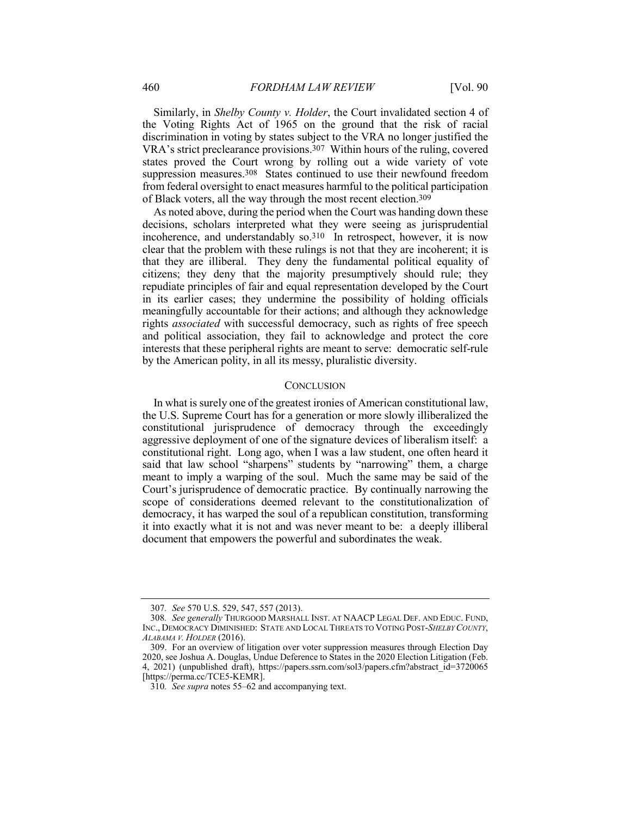<span id="page-38-0"></span> the Voting Rights Act of 1965 on the ground that the risk of racial VRA's strict preclearance provisions.307 Within hours of the ruling, covered states proved the Court wrong by rolling out a wide variety of vote suppression measures.<sup>308</sup> States continued to use their newfound freedom Similarly, in *Shelby County v. Holder*, the Court invalidated section 4 of discrimination in voting by states subject to the VRA no longer justified the from federal oversight to enact measures harmful to the political participation of Black voters, all the way through the most recent election.309

 As noted above, during the period when the Court was handing down these decisions, scholars interpreted what they were seeing as jurisprudential incoherence, and understandably so.310 In retrospect, however, it is now clear that the problem with these rulings is not that they are incoherent; it is that they are illiberal. They deny the fundamental political equality of citizens; they deny that the majority presumptively should rule; they in its earlier cases; they undermine the possibility of holding officials interests that these peripheral rights are meant to serve: democratic self-rule repudiate principles of fair and equal representation developed by the Court meaningfully accountable for their actions; and although they acknowledge rights *associated* with successful democracy, such as rights of free speech and political association, they fail to acknowledge and protect the core by the American polity, in all its messy, pluralistic diversity.

## **CONCLUSION**

 aggressive deployment of one of the signature devices of liberalism itself: a constitutional right. Long ago, when I was a law student, one often heard it said that law school "sharpens" students by "narrowing" them, a charge meant to imply a warping of the soul. Much the same may be said of the Court's jurisprudence of democratic practice. By continually narrowing the it into exactly what it is not and was never meant to be: a deeply illiberal In what is surely one of the greatest ironies of American constitutional law, the U.S. Supreme Court has for a generation or more slowly illiberalized the constitutional jurisprudence of democracy through the exceedingly scope of considerations deemed relevant to the constitutionalization of democracy, it has warped the soul of a republican constitution, transforming document that empowers the powerful and subordinates the weak.

<sup>307</sup>*. See* 570 U.S. 529, 547, 557 (2013).

 INC., DEMOCRACY DIMINISHED: STATE AND LOCAL THREATS TO VOTING POST-*SHELBYCOUNTY*,  *ALABAMA V. HOLDER* (2016). 308*. See generally* THURGOOD MARSHALL INST. AT NAACP LEGAL DEF. AND EDUC. FUND,

 2020, see Joshua A. Douglas, Undue Deference to States in the 2020 Election Litigation (Feb. 309. For an overview of litigation over voter suppression measures through Election Day 4, 2021) (unpublished draft), [https://papers.ssrn.com/sol3/papers.cfm?abstract\\_id=3720065](https://papers.ssrn.com/sol3/papers.cfm?abstract_id=3720065) [\[https://perma.cc/TCE5-KEMR](https://perma.cc/TCE5-KEMR)].

<sup>310</sup>*. See supra* notes 55–62 and accompanying text.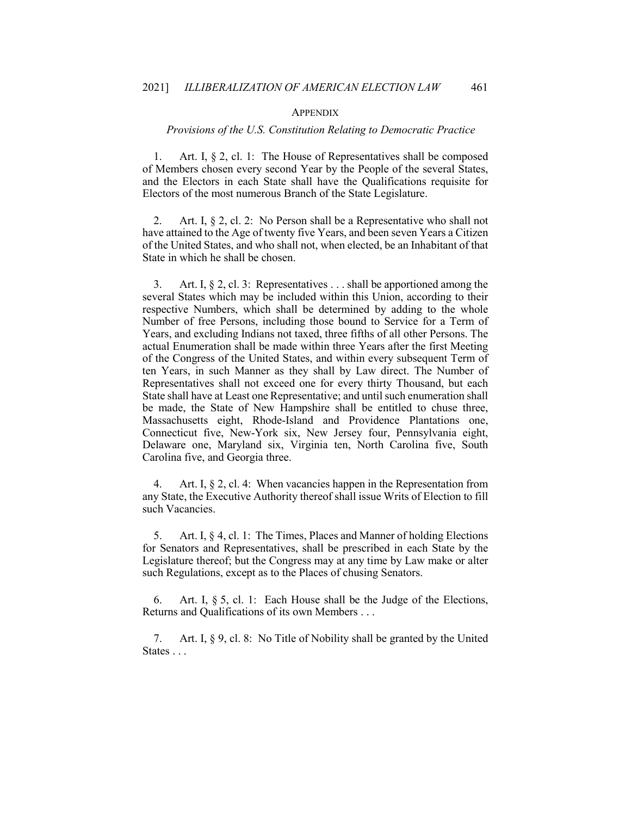#### **APPENDIX**

## *Provisions of the U.S. Constitution Relating to Democratic Practice*

<span id="page-39-0"></span> $\mathbf{1}$ . of Members chosen every second Year by the People of the several States, Art. I,  $\S 2$ , cl. 1: The House of Representatives shall be composed and the Electors in each State shall have the Qualifications requisite for Electors of the most numerous Branch of the State Legislature.

 $2.$  have attained to the Age of twenty five Years, and been seven Years a Citizen of the United States, and who shall not, when elected, be an Inhabitant of that Art. I, § 2, cl. 2: No Person shall be a Representative who shall not State in which he shall be chosen.

 $3<sub>1</sub>$  several States which may be included within this Union, according to their respective Numbers, which shall be determined by adding to the whole Years, and excluding Indians not taxed, three fifths of all other Persons. The actual Enumeration shall be made within three Years after the first Meeting of the Congress of the United States, and within every subsequent Term of ten Years, in such Manner as they shall by Law direct. The Number of Representatives shall not exceed one for every thirty Thousand, but each be made, the State of New Hampshire shall be entitled to chuse three, Connecticut five, New-York six, New Jersey four, Pennsylvania eight, Delaware one, Maryland six, Virginia ten, North Carolina five, South Art. I,  $\S 2$ , cl. 3: Representatives . . . shall be apportioned among the Number of free Persons, including those bound to Service for a Term of State shall have at Least one Representative; and until such enumeration shall Massachusetts eight, Rhode-Island and Providence Plantations one, Carolina five, and Georgia three.

 $\overline{4}$  any State, the Executive Authority thereof shall issue Writs of Election to fill Art. I,  $\S 2$ , cl. 4: When vacancies happen in the Representation from such Vacancies.

5. for Senators and Representatives, shall be prescribed in each State by the Legislature thereof; but the Congress may at any time by Law make or alter Art. I, § 4, cl. 1: The Times, Places and Manner of holding Elections such Regulations, except as to the Places of chusing Senators.

6. Returns and Qualifications of its own Members . . . Art. I, § 5, cl. 1: Each House shall be the Judge of the Elections,

7. States . . . Art. I, § 9, cl. 8: No Title of Nobility shall be granted by the United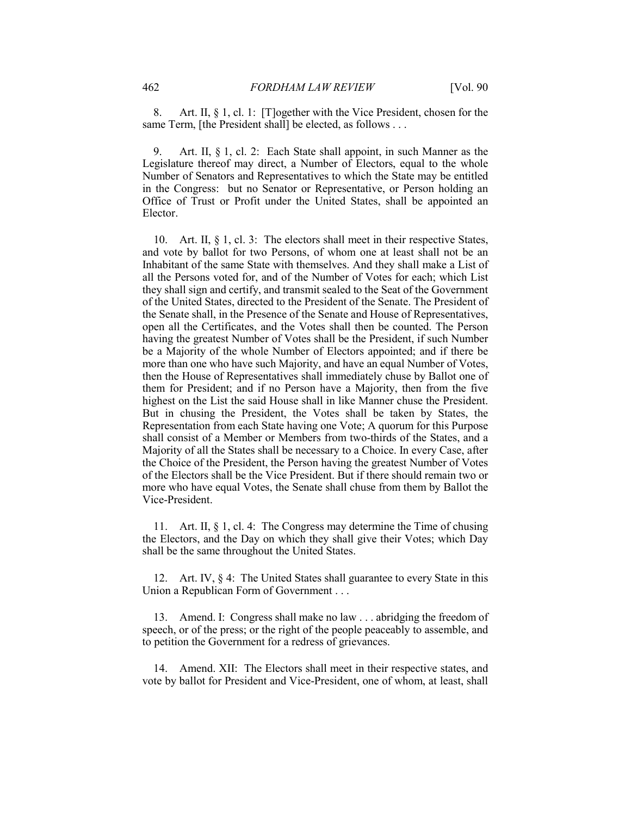8. same Term, [the President shall] be elected, as follows . . . Art. II, § 1, cl. 1: [T]ogether with the Vice President, chosen for the

 Number of Senators and Representatives to which the State may be entitled Office of Trust or Profit under the United States, shall be appointed an Art. II, § 1, cl. 2: Each State shall appoint, in such Manner as the Legislature thereof may direct, a Number of Electors, equal to the whole in the Congress: but no Senator or Representative, or Person holding an Elector.

 10. Art. II, § 1, cl. 3: The electors shall meet in their respective States, and vote by ballot for two Persons, of whom one at least shall not be an Inhabitant of the same State with themselves. And they shall make a List of of the United States, directed to the President of the Senate. The President of open all the Certificates, and the Votes shall then be counted. The Person having the greatest Number of Votes shall be the President, if such Number be a Majority of the whole Number of Electors appointed; and if there be then the House of Representatives shall immediately chuse by Ballot one of them for President; and if no Person have a Majority, then from the five highest on the List the said House shall in like Manner chuse the President. But in chusing the President, the Votes shall be taken by States, the Representation from each State having one Vote; A quorum for this Purpose shall consist of a Member or Members from two-thirds of the States, and a more who have equal Votes, the Senate shall chuse from them by Ballot the all the Persons voted for, and of the Number of Votes for each; which List they shall sign and certify, and transmit sealed to the Seat of the Government the Senate shall, in the Presence of the Senate and House of Representatives, more than one who have such Majority, and have an equal Number of Votes, Majority of all the States shall be necessary to a Choice. In every Case, after the Choice of the President, the Person having the greatest Number of Votes of the Electors shall be the Vice President. But if there should remain two or Vice-President.

 11. Art. II, § 1, cl. 4: The Congress may determine the Time of chusing the Electors, and the Day on which they shall give their Votes; which Day shall be the same throughout the United States.

 12. Art. IV, § 4: The United States shall guarantee to every State in this Union a Republican Form of Government . . .

 13. Amend. I: Congress shall make no law . . . abridging the freedom of speech, or of the press; or the right of the people peaceably to assemble, and to petition the Government for a redress of grievances.

14. Amend. XII: The Electors shall meet in their respective states, and vote by ballot for President and Vice-President, one of whom, at least, shall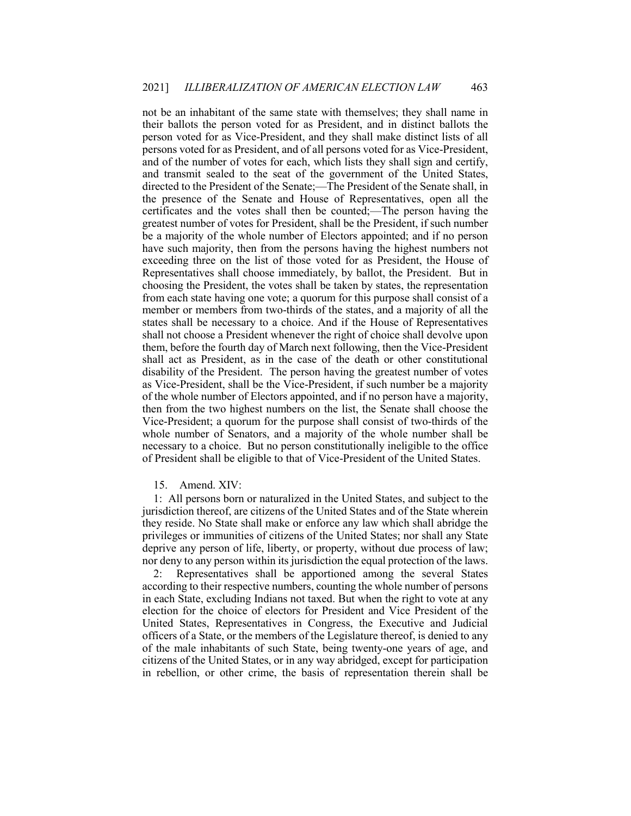not be an inhabitant of the same state with themselves; they shall name in person voted for as Vice-President, and they shall make distinct lists of all and transmit sealed to the seat of the government of the United States, the presence of the Senate and House of Representatives, open all the certificates and the votes shall then be counted;—The person having the greatest number of votes for President, shall be the President, if such number choosing the President, the votes shall be taken by states, the representation member or members from two-thirds of the states, and a majority of all the states shall be necessary to a choice. And if the House of Representatives disability of the President. The person having the greatest number of votes as Vice-President, shall be the Vice-President, if such number be a majority of the whole number of Electors appointed, and if no person have a majority, whole number of Senators, and a majority of the whole number shall be necessary to a choice. But no person constitutionally ineligible to the office their ballots the person voted for as President, and in distinct ballots the persons voted for as President, and of all persons voted for as Vice-President, and of the number of votes for each, which lists they shall sign and certify, directed to the President of the Senate;—The President of the Senate shall, in be a majority of the whole number of Electors appointed; and if no person have such majority, then from the persons having the highest numbers not exceeding three on the list of those voted for as President, the House of Representatives shall choose immediately, by ballot, the President. But in from each state having one vote; a quorum for this purpose shall consist of a shall not choose a President whenever the right of choice shall devolve upon them, before the fourth day of March next following, then the Vice-President shall act as President, as in the case of the death or other constitutional then from the two highest numbers on the list, the Senate shall choose the Vice-President; a quorum for the purpose shall consist of two-thirds of the of President shall be eligible to that of Vice-President of the United States.

#### 15. Amend. XIV:

 1: All persons born or naturalized in the United States, and subject to the jurisdiction thereof, are citizens of the United States and of the State wherein privileges or immunities of citizens of the United States; nor shall any State deprive any person of life, liberty, or property, without due process of law; nor deny to any person within its jurisdiction the equal protection of the laws. they reside. No State shall make or enforce any law which shall abridge the

 election for the choice of electors for President and Vice President of the citizens of the United States, or in any way abridged, except for participation 2: Representatives shall be apportioned among the several States according to their respective numbers, counting the whole number of persons in each State, excluding Indians not taxed. But when the right to vote at any United States, Representatives in Congress, the Executive and Judicial officers of a State, or the members of the Legislature thereof, is denied to any of the male inhabitants of such State, being twenty-one years of age, and in rebellion, or other crime, the basis of representation therein shall be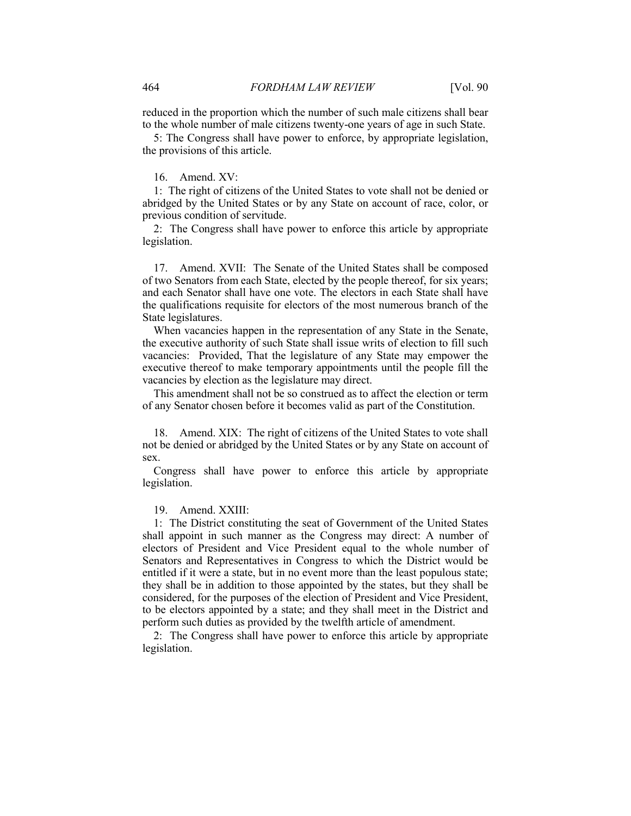reduced in the proportion which the number of such male citizens shall bear to the whole number of male citizens twenty-one years of age in such State.

 5: The Congress shall have power to enforce, by appropriate legislation, the provisions of this article.

## 16. Amend. XV:

 1: The right of citizens of the United States to vote shall not be denied or abridged by the United States or by any State on account of race, color, or previous condition of servitude.

 2: The Congress shall have power to enforce this article by appropriate legislation.

 17. Amend. XVII: The Senate of the United States shall be composed of two Senators from each State, elected by the people thereof, for six years; and each Senator shall have one vote. The electors in each State shall have the qualifications requisite for electors of the most numerous branch of the State legislatures.

 the executive authority of such State shall issue writs of election to fill such vacancies: Provided, That the legislature of any State may empower the When vacancies happen in the representation of any State in the Senate, executive thereof to make temporary appointments until the people fill the vacancies by election as the legislature may direct.

This amendment shall not be so construed as to affect the election or term of any Senator chosen before it becomes valid as part of the Constitution.

 18. Amend. XIX: The right of citizens of the United States to vote shall not be denied or abridged by the United States or by any State on account of sex.

 Congress shall have power to enforce this article by appropriate legislation.

## 19. Amend. XXIII:

 1: The District constituting the seat of Government of the United States shall appoint in such manner as the Congress may direct: A number of Senators and Representatives in Congress to which the District would be entitled if it were a state, but in no event more than the least populous state; they shall be in addition to those appointed by the states, but they shall be to be electors appointed by a state; and they shall meet in the District and electors of President and Vice President equal to the whole number of considered, for the purposes of the election of President and Vice President, perform such duties as provided by the twelfth article of amendment.

 2: The Congress shall have power to enforce this article by appropriate legislation.